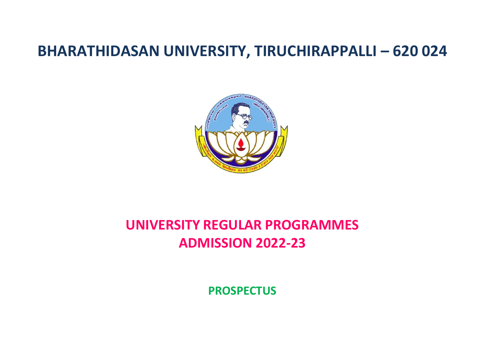# **BHARATHIDASAN UNIVERSITY, TIRUCHIRAPPALLI – 620 024**



# **UNIVERSITY REGULAR PROGRAMMES ADMISSION 2022-23**

**PROSPECTUS**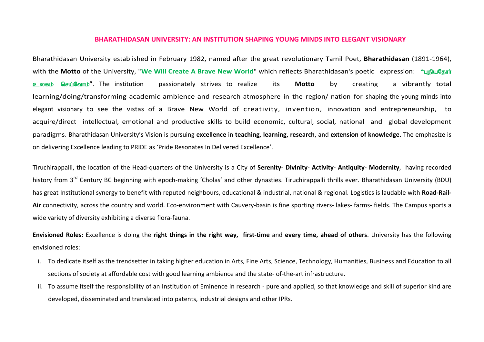#### **BHARATHIDASAN UNIVERSITY: AN INSTITUTION SHAPING YOUNG MINDS INTO ELEGANT VISIONARY**

Bharathidasan University established in February 1982, named after the great revolutionary Tamil Poet, **Bharathidasan** (1891-1964), with the Motto of the University, "We Will Create A Brave New World" which reflects Bharathidasan's poetic expression: "Liguaghting **உ**லகம் செய்வோம்". The institution passionately strives to realize its **Motto** by creating a vibrantly total learning/doing/transforming academic ambience and research atmosphere in the region/ nation for shaping the young minds into elegant visionary to see the vistas of a Brave New World of creativity, invention, innovation and entrepreneurship, to acquire/direct intellectual, emotional and productive skills to build economic, cultural, social, national and global development paradigms. Bharathidasan University's Vision is pursuing **excellence** in **teaching, learning, research**, and **extension of knowledge.** The emphasize is on delivering Excellence leading to PRIDE as 'Pride Resonates In Delivered Excellence'.

Tiruchirappalli, the location of the Head-quarters of the University is a City of **Serenity- Divinity- Activity- Antiquity- Modernity**, having recorded historv from 3<sup>rd</sup> Centurv BC beginning with epoch-making 'Cholas' and other dynasties. Tiruchirappalli thrills ever. Bharathidasan University (BDU) has great Institutional synergy to benefit with reputed neighbours, educational & industrial, national & regional. Logistics is laudable with **Road-Rail-Air** connectivity, across the country and world. Eco-environment with Cauvery-basin is fine sporting rivers- lakes- farms- fields. The Campus sports a wide variety of diversity exhibiting a diverse flora-fauna.

**Envisioned Roles:** Excellence is doing the **right things in the right way, first-time** and **every time, ahead of others**. University has the following envisioned roles:

- i. To dedicate itself as the trendsetter in taking higher education in Arts, Fine Arts, Science, Technology, Humanities, Business and Education to all sections of society at affordable cost with good learning ambience and the state- of-the-art infrastructure.
- ii. To assume itself the responsibility of an Institution of Eminence in research pure and applied, so that knowledge and skill of superior kind are developed, disseminated and translated into patents, industrial designs and other IPRs.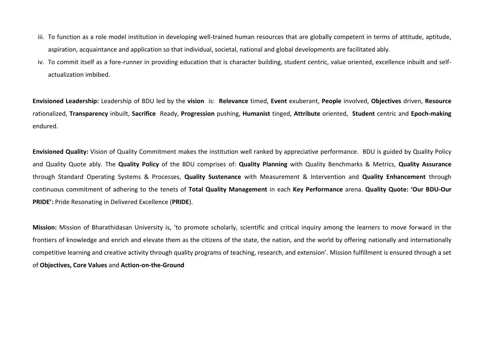- iii. To function as a role model institution in developing well-trained human resources that are globally competent in terms of attitude, aptitude, aspiration, acquaintance and application so that individual, societal, national and global developments are facilitated ably.
- iv. To commit itself as a fore-runner in providing education that is character building, student centric, value oriented, excellence inbuilt and selfactualization imbibed.

**Envisioned Leadership:** Leadership of BDU led by the **vision** is: **Relevance** timed, **Event** exuberant, **People** involved, **Objectives** driven, **Resource** rationalized, **Transparency** inbuilt, **Sacrifice** Ready, **Progression** pushing, **Humanist** tinged, **Attribute** oriented, **Student** centric and **Epoch-making**  endured.

**Envisioned Quality:** Vision of Quality Commitment makes the institution well ranked by appreciative performance. BDU is guided by Quality Policy and Quality Quote ably. The **Quality Policy** of the BDU comprises of: **Quality Planning** with Quality Benchmarks & Metrics, **Quality Assurance** through Standard Operating Systems & Processes, **Quality Sustenance** with Measurement & Intervention and **Quality Enhancement** through continuous commitment of adhering to the tenets of **Total Quality Management** in each **Key Performance** arena. **Quality Quote: 'Our BDU-Our PRIDE':** Pride Resonating in Delivered Excellence (**PRIDE**).

**Mission:** Mission of Bharathidasan University is, 'to promote scholarly, scientific and critical inquiry among the learners to move forward in the frontiers of knowledge and enrich and elevate them as the citizens of the state, the nation, and the world by offering nationally and internationally competitive learning and creative activity through quality programs of teaching, research, and extension'. Mission fulfillment is ensured through a set of **Objectives, Core Values** and **Action-on-the-Ground**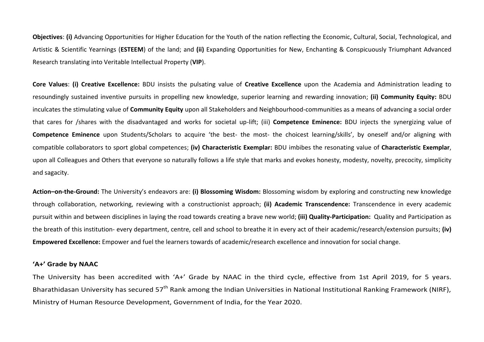**Objectives**: **(i)** Advancing Opportunities for Higher Education for the Youth of the nation reflecting the Economic, Cultural, Social, Technological, and Artistic & Scientific Yearnings (**ESTEEM**) of the land; and **(ii)** Expanding Opportunities for New, Enchanting & Conspicuously Triumphant Advanced Research translating into Veritable Intellectual Property (**VIP**).

**Core Values**: **(i) Creative Excellence:** BDU insists the pulsating value of **Creative Excellence** upon the Academia and Administration leading to resoundingly sustained inventive pursuits in propelling new knowledge, superior learning and rewarding innovation; **(ii) Community Equity:** BDU inculcates the stimulating value of **Community Equity** upon all Stakeholders and Neighbourhood-communities as a means of advancing a social order that cares for /shares with the disadvantaged and works for societal up-lift; (iii) **Competence Eminence:** BDU injects the synergizing value of **Competence Eminence** upon Students/Scholars to acquire 'the best- the most- the choicest learning/skills', by oneself and/or aligning with compatible collaborators to sport global competences; **(iv) Characteristic Exemplar:** BDU imbibes the resonating value of **Characteristic Exemplar**, upon all Colleagues and Others that everyone so naturally follows a life style that marks and evokes honesty, modesty, novelty, precocity, simplicity and sagacity.

**Action–on-the-Ground:** The University's endeavors are: **(i) Blossoming Wisdom:** Blossoming wisdom by exploring and constructing new knowledge through collaboration, networking, reviewing with a constructionist approach; **(ii) Academic Transcendence:** Transcendence in every academic pursuit within and between disciplines in laying the road towards creating a brave new world; **(iii) Quality-Participation:** Quality and Participation as the breath of this institution- every department, centre, cell and school to breathe it in every act of their academic/research/extension pursuits; **(iv) Empowered Excellence:** Empower and fuel the learners towards of academic/research excellence and innovation for social change.

#### **'A+' Grade by NAAC**

The University has been accredited with 'A+' Grade by NAAC in the third cycle, effective from 1st April 2019, for 5 years. Bharathidasan University has secured 57<sup>th</sup> Rank among the Indian Universities in National Institutional Ranking Framework (NIRF), Ministry of Human Resource Development, Government of India, for the Year 2020.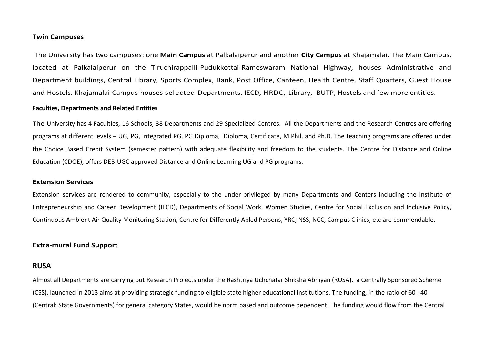#### **Twin Campuses**

The University has two campuses: one **Main Campus** at Palkalaiperur and another **City Campus** at Khajamalai. The Main Campus, located at Palkalaiperur on the Tiruchirappalli-Pudukkottai-Rameswaram National Highway, houses Administrative and Department buildings, Central Library, Sports Complex, Bank, Post Office, Canteen, Health Centre, Staff Quarters, Guest House and Hostels. Khajamalai Campus houses selected Departments, IECD, HRDC, Library, BUTP, Hostels and few more entities.

#### **Faculties, Departments and Related Entities**

The University has 4 Faculties, 16 Schools, 38 Departments and 29 Specialized Centres. All the Departments and the Research Centres are offering programs at different levels – UG, PG, Integrated PG, PG Diploma, Diploma, Certificate, M.Phil. and Ph.D. The teaching programs are offered under the Choice Based Credit System (semester pattern) with adequate flexibility and freedom to the students. The Centre for Distance and Online Education (CDOE), offers DEB-UGC approved Distance and Online Learning UG and PG programs.

#### **Extension Services**

Extension services are rendered to community, especially to the under-privileged by many Departments and Centers including the Institute of Entrepreneurship and Career Development (IECD), Departments of Social Work, Women Studies, Centre for Social Exclusion and Inclusive Policy, Continuous Ambient Air Quality Monitoring Station, Centre for Differently Abled Persons, YRC, NSS, NCC, Campus Clinics, etc are commendable.

#### **Extra-mural Fund Support**

#### **RUSA**

Almost all Departments are carrying out Research Projects under the Rashtriya Uchchatar Shiksha Abhiyan (RUSA), a Centrally Sponsored Scheme (CSS), launched in 2013 aims at providing strategic funding to eligible state higher educational institutions. The funding, in the ratio of 60 : 40 (Central: State Governments) for general category States, would be norm based and outcome dependent. The funding would flow from the Central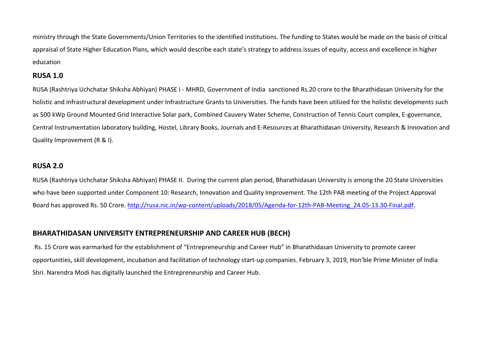ministry through the State Governments/Union Territories to the identified institutions. The funding to States would be made on the basis of critical appraisal of State Higher Education Plans, which would describe each state's strategy to address issues of equity, access and excellence in higher education

### **RUSA 1.0**

RUSA (Rashtriya Uchchatar Shiksha Abhiyan) PHASE I - MHRD, Government of India sanctioned Rs.20 crore to the Bharathidasan University for the holistic and infrastructural development under Infrastructure Grants to Universities. The funds have been utilized for the holistic developments such as 500 kWp Ground Mounted Grid Interactive Solar park, Combined Cauvery Water Scheme, Construction of Tennis Court complex, E-governance, Central Instrumentation laboratory building, Hostel, Library Books, Journals and E-Resources at Bharathidasan University, Research & Innovation and Quality Improvement (R & I).

# **RUSA 2.0**

RUSA (Rashtriya Uchchatar Shiksha Abhiyan) PHASE II. During the current plan period, Bharathidasan University is among the 20 State Universities who have been supported under Component 10: Research, Innovation and Quality Improvement. The 12th PAB meeting of the Project Approval Board has approved Rs. 50 Crore. [http://rusa.nic.in/wp-content/uploads/2018/05/Agenda-for-12th-PAB-Meeting\\_24.05-13.30-Final.pdf.](http://rusa.nic.in/wp-content/uploads/2018/05/Agenda-for-12th-PAB-Meeting_24.05-13.30-Final.pdf)

# **BHARATHIDASAN UNIVERSITY ENTREPRENEURSHIP AND CAREER HUB (BECH)**

Rs. 15 Crore was earmarked for the establishment of "Entrepreneurship and Career Hub" in Bharathidasan University to promote career opportunities, skill development, incubation and facilitation of technology start-up companies. February 3, 2019, Hon'ble Prime Minister of India Shri. Narendra Modi has digitally launched the Entrepreneurship and Career Hub.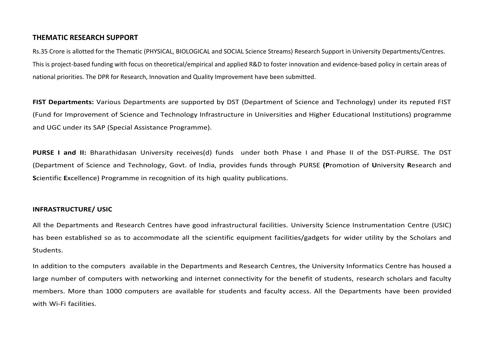### **THEMATIC RESEARCH SUPPORT**

Rs.35 Crore is allotted for the Thematic (PHYSICAL, BIOLOGICAL and SOCIAL Science Streams) Research Support in University Departments/Centres. This is project-based funding with focus on theoretical/empirical and applied R&D to foster innovation and evidence-based policy in certain areas of national priorities. The DPR for Research, Innovation and Quality Improvement have been submitted.

**FIST Departments:** Various Departments are supported by DST (Department of Science and Technology) under its reputed FIST (Fund for Improvement of Science and Technology Infrastructure in Universities and Higher Educational Institutions) programme and UGC under its SAP (Special Assistance Programme).

**PURSE I and II:** Bharathidasan University receives(d) funds under both Phase I and Phase II of the DST-PURSE. The DST (Department of Science and Technology, Govt. of India, provides funds through PURSE **(P**romotion of **U**niversity **R**esearch and **S**cientific **E**xcellence) Programme in recognition of its high quality publications.

#### **INFRASTRUCTURE/ USIC**

All the Departments and Research Centres have good infrastructural facilities. University Science Instrumentation Centre (USIC) has been established so as to accommodate all the scientific equipment facilities/gadgets for wider utility by the Scholars and Students.

In addition to the computers available in the Departments and Research Centres, the University Informatics Centre has housed a large number of computers with networking and internet connectivity for the benefit of students, research scholars and faculty members. More than 1000 computers are available for students and faculty access. All the Departments have been provided with Wi-Fi facilities.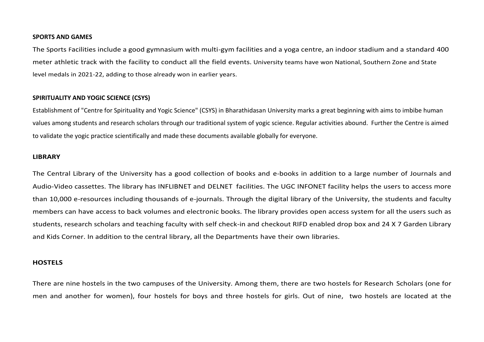#### **SPORTS AND GAMES**

The Sports Facilities include a good gymnasium with multi-gym facilities and a yoga centre, an indoor stadium and a standard 400 meter athletic track with the facility to conduct all the field events. University teams have won National, Southern Zone and State level medals in 2021-22, adding to those already won in earlier years.

#### **SPIRITUALITY AND YOGIC SCIENCE (CSYS)**

Establishment of "Centre for Spirituality and Yogic Science" (CSYS) in Bharathidasan University marks a great beginning with aims to imbibe human values among students and research scholars through our traditional system of yogic science. Regular activities abound. Further the Centre is aimed to validate the yogic practice scientifically and made these documents available globally for everyone.

#### **LIBRARY**

The Central Library of the University has a good collection of books and e-books in addition to a large number of Journals and Audio-Video cassettes. The library has INFLIBNET and DELNET facilities. The UGC INFONET facility helps the users to access more than 10,000 e-resources including thousands of e-journals. Through the digital library of the University, the students and faculty members can have access to back volumes and electronic books. The library provides open access system for all the users such as students, research scholars and teaching faculty with self check-in and checkout RIFD enabled drop box and 24 X 7 Garden Library and Kids Corner. In addition to the central library, all the Departments have their own libraries.

#### **HOSTELS**

There are nine hostels in the two campuses of the University. Among them, there are two hostels for Research Scholars (one for men and another for women), four hostels for boys and three hostels for girls. Out of nine, two hostels are located at the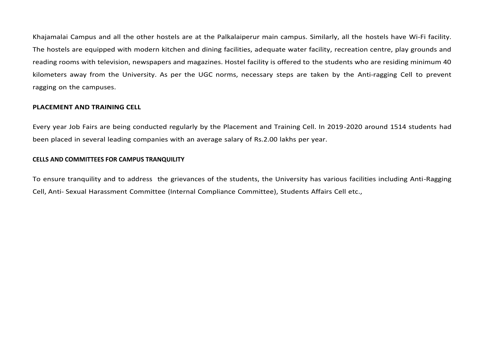Khajamalai Campus and all the other hostels are at the Palkalaiperur main campus. Similarly, all the hostels have Wi-Fi facility. The hostels are equipped with modern kitchen and dining facilities, adequate water facility, recreation centre, play grounds and reading rooms with television, newspapers and magazines. Hostel facility is offered to the students who are residing minimum 40 kilometers away from the University. As per the UGC norms, necessary steps are taken by the Anti-ragging Cell to prevent ragging on the campuses.

#### **PLACEMENT AND TRAINING CELL**

Every year Job Fairs are being conducted regularly by the Placement and Training Cell. In 2019-2020 around 1514 students had been placed in several leading companies with an average salary of Rs.2.00 lakhs per year.

#### **CELLS AND COMMITTEES FOR CAMPUS TRANQUILITY**

To ensure tranquility and to address the grievances of the students, the University has various facilities including Anti-Ragging Cell, Anti- Sexual Harassment Committee (Internal Compliance Committee), Students Affairs Cell etc.,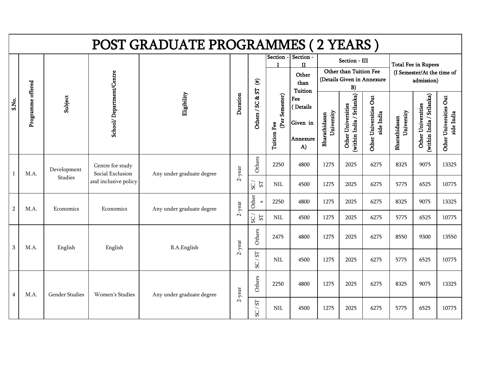|                |                   |                |                                      | POST GRADUATE PROGRAMMES (2 YEARS) |           |                                      |                               |                                                       |                             |                                                |                                      |                             |                                                                        |                                      |
|----------------|-------------------|----------------|--------------------------------------|------------------------------------|-----------|--------------------------------------|-------------------------------|-------------------------------------------------------|-----------------------------|------------------------------------------------|--------------------------------------|-----------------------------|------------------------------------------------------------------------|--------------------------------------|
|                |                   |                |                                      |                                    |           | $\widehat{\mathbf{f}}$               | Section -                     | Section -<br>$\mathbf{H}$<br>Other<br>than<br>Tuition |                             | Section - III<br>Other than Tuition Fee<br>B)  | (Details Given in Annexure           |                             | <b>Total Fee in Rupees</b><br>(I Semester/At the time of<br>admission) |                                      |
| S.No.          | Programme offered | Subject        | School/Department/Centre             | Eligibility                        | Duration  | ${\bf S}$<br>Others / SC &           | (Per Semester)<br>Tuition Fee | Fee<br>Details<br>Given in<br>Annexure<br>A)          | University<br>Bharathidasan | within India / Srilanka)<br>Other Universities | Other Universities Out<br>side India | University<br>Bharathidasan | within India / Srilanka)<br>Other Universities                         | Other Universities Out<br>side India |
| $\overline{1}$ | M.A.              | Development    | Centre for study<br>Social Exclusion | Any under graduate degree          | $2$ -year | Others                               | 2250                          | 4800                                                  | 1275                        | 2025                                           | 6275                                 | 8325                        | 9075                                                                   | 13325                                |
|                |                   | Studies        | and inclusive policy                 |                                    |           | $\overline{SC}$<br>$5\overline{1}$   | NIL                           | 4500                                                  | 1275                        | 2025                                           | 6275                                 | 5775                        | 6525                                                                   | 10775                                |
| $\overline{2}$ | M.A.              | Economics      | Economics                            | Any under graduate degree          | $2$ -year | Other<br>S                           | 2250                          | 4800                                                  | 1275                        | 2025                                           | 6275                                 | 8325                        | 9075                                                                   | 13325                                |
|                |                   |                |                                      |                                    |           | $\sqrt{2S}$<br>$5\overline{1}$       | $\text{NIL}$                  | 4500                                                  | 1275                        | 2025                                           | 6275                                 | 5775                        | 6525                                                                   | 10775                                |
| $\mathbf{3}$   | M.A.              | English        | English                              | <b>B.A.English</b>                 | $2$ -year | Others                               | 2475                          | 4800                                                  | 1275                        | 2025                                           | 6275                                 | 8550                        | 9300                                                                   | 13550                                |
|                |                   |                |                                      |                                    |           | ${\rm S} {\rm T}$<br>$\overline{SC}$ | <b>NIL</b>                    | 4500                                                  | 1275                        | 2025                                           | 6275                                 | 5775                        | 6525                                                                   | 10775                                |
| 4              | M.A.              | Gender Studies | Women's Studies                      | Any under graduate degree          | $2$ -year | Others                               | 2250                          | 4800                                                  | 1275                        | 2025                                           | 6275                                 | 8325                        | 9075                                                                   | 13325                                |
|                |                   |                |                                      |                                    |           | $SC/ST$                              | <b>NIL</b>                    | 4500                                                  | 1275                        | 2025                                           | 6275                                 | 5775                        | 6525                                                                   | 10775                                |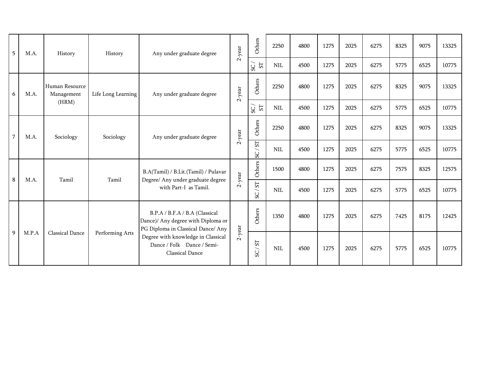| 5              | M.A.  | History                      | History            | Any under graduate degree                                                                                  | $2$ -year | Others                                               | 2250         | 4800 | 1275 | 2025 | 6275 | 8325 | 9075 | 13325 |
|----------------|-------|------------------------------|--------------------|------------------------------------------------------------------------------------------------------------|-----------|------------------------------------------------------|--------------|------|------|------|------|------|------|-------|
|                |       |                              |                    |                                                                                                            |           | ${\rm S}T$<br>SC                                     | $\mbox{NIL}$ | 4500 | 1275 | 2025 | 6275 | 5775 | 6525 | 10775 |
| 6              | M.A.  | Human Resource<br>Management | Life Long Learning | Any under graduate degree                                                                                  | $2$ -year | Others                                               | 2250         | 4800 | 1275 | 2025 | 6275 | 8325 | 9075 | 13325 |
|                |       | (HRM)                        |                    |                                                                                                            |           | ${\mathbb S}$<br>$_{\rm{SC}}$                        | $\text{NIL}$ | 4500 | 1275 | 2025 | 6275 | 5775 | 6525 | 10775 |
| $\overline{7}$ | M.A.  | Sociology                    | Sociology          | Any under graduate degree                                                                                  | $2$ -year | Others                                               | 2250         | 4800 | 1275 | 2025 | 6275 | 8325 | 9075 | 13325 |
|                |       |                              |                    |                                                                                                            |           | ST<br>$\overline{\phantom{0}}$<br>SC                 | <b>NIL</b>   | 4500 | 1275 | 2025 | 6275 | 5775 | 6525 | 10775 |
| $\bf 8$        | M.A.  | Tamil                        | Tamil              | B.A(Tamil) / B.Lit.(Tamil) / Pulavar<br>Degree/ Any under graduate degree                                  | $2$ -year | Others                                               | 1500         | 4800 | 1275 | 2025 | 6275 | 7575 | 8325 | 12575 |
|                |       |                              |                    | with Part-I as Tamil.                                                                                      |           | $\overline{\rm S}$<br>$\overline{\phantom{0}}$<br>SC | <b>NIL</b>   | 4500 | 1275 | 2025 | 6275 | 5775 | 6525 | 10775 |
|                |       |                              |                    | B.P.A / B.F.A / B.A (Classical<br>Dance)/ Any degree with Diploma or<br>PG Diploma in Classical Dance/ Any |           | Others                                               | 1350         | 4800 | 1275 | 2025 | 6275 | 7425 | 8175 | 12425 |
| 9              | M.P.A | <b>Classical Dance</b>       | Performing Arts    | Degree with knowledge in Classical<br>Dance / Folk Dance / Semi-<br><b>Classical Dance</b>                 | $2$ -year | $\overline{\rm S}$<br>$\overline{\phantom{0}}$<br>SC | $\text{NIL}$ | 4500 | 1275 | 2025 | 6275 | 5775 | 6525 | 10775 |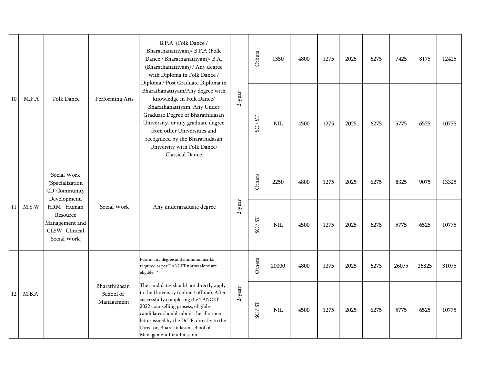|        |        |                                                                            |                                          | B.P.A. (Folk Dance /<br>Bharathanattiyam)/ B.F.A (Folk<br>Dance / Bharathanattiyam)/ B.A.<br>(Bharathanattiyam) / Any degree<br>with Diploma in Folk Dance /<br>Diploma / Post Graduate Diploma in                                                                                                                            |           | Others                | 1350       | 4800 | 1275 | 2025 | 6275 | 7425  | 8175  | 12425 |
|--------|--------|----------------------------------------------------------------------------|------------------------------------------|-------------------------------------------------------------------------------------------------------------------------------------------------------------------------------------------------------------------------------------------------------------------------------------------------------------------------------|-----------|-----------------------|------------|------|------|------|------|-------|-------|-------|
| $10\,$ | M.P.A  | Folk Dance                                                                 | Performing Arts                          | Bharathanattiyam/Any degree with<br>knowledge in Folk Dance/<br>Bharathanattiyam. Any Under<br>Graduate Degree of Bharathidasan<br>University, or any graduate degree<br>from other Universities and<br>recognized by the Bharathidasan<br>University with Folk Dance/<br>Classical Dance.                                    | $2$ -year | 1S<br>SC/             | <b>NIL</b> | 4500 | 1275 | 2025 | 6275 | 5775  | 6525  | 10775 |
|        |        | Social Work<br>(Specialization<br>CD-Community<br>Development,             |                                          |                                                                                                                                                                                                                                                                                                                               |           | Others                | 2250       | 4800 | 1275 | 2025 | 6275 | 8325  | 9075  | 13325 |
| 11     | M.S.W  | HRM - Human<br>Resource<br>Management and<br>CLSW-Clinical<br>Social Work) | Social Work                              | Any undergraduate degree                                                                                                                                                                                                                                                                                                      | $2$ -year | 5 <sub>2</sub><br>SC/ | <b>NIL</b> | 4500 | 1275 | 2025 | 6275 | 5775  | 6525  | 10775 |
|        |        |                                                                            |                                          | Pass in any degree and minimum marks<br>required as per TANCET norms alone are<br>eligible. *                                                                                                                                                                                                                                 |           | Others                | 20000      | 4800 | 1275 | 2025 | 6275 | 26075 | 26825 | 31075 |
| 12     | M.B.A. |                                                                            | Bharathidasan<br>School of<br>Management | The candidates should not directly apply<br>to the University (online / offline). After<br>successfully completing the TANCET<br>2022 counselling prosess, eligible<br>candidates should submit the allotment<br>letter issued by the DoTE, directly to the<br>Director, Bharathidasan school of<br>Management for admission. | $2$ -year | SC/ST                 | <b>NIL</b> | 4500 | 1275 | 2025 | 6275 | 5775  | 6525  | 10775 |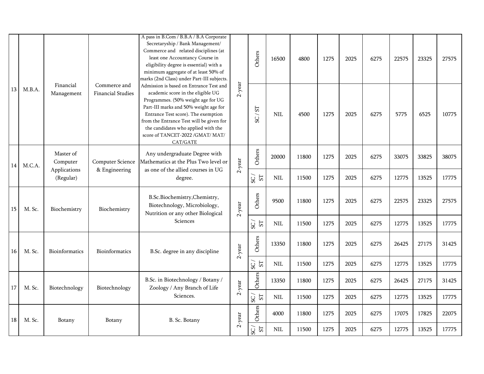|        |        |                           |                                          | A pass in B.Com / B.B.A / B.A Corporate<br>Secretaryship / Bank Management/<br>Commerce and related disciplines (at<br>least one Accountancy Course in<br>eligibility degree is essential) with a<br>minimum aggregate of at least 50% of<br>marks (2nd Class) under Part-III subjects.                                               |           | Others                            | 16500        | 4800  | 1275 | 2025 | 6275 | 22575 | 23325 | 27575 |
|--------|--------|---------------------------|------------------------------------------|---------------------------------------------------------------------------------------------------------------------------------------------------------------------------------------------------------------------------------------------------------------------------------------------------------------------------------------|-----------|-----------------------------------|--------------|-------|------|------|------|-------|-------|-------|
| 13     | M.B.A. | Financial<br>Management   | Commerce and<br><b>Financial Studies</b> | Admission is based on Entrance Test and<br>academic score in the eligible UG<br>Programmes. (50% weight age for UG<br>Part-III marks and 50% weight age for<br>Entrance Test score). The exemption<br>from the Entrance Test will be given for<br>the candidates who applied with the<br>score of TANCET-2022 /GMAT/ MAT/<br>CAT/GATE | $2$ -year | 51<br>/ DS                        | <b>NIL</b>   | 4500  | 1275 | 2025 | 6275 | 5775  | 6525  | 10775 |
| 14     | M.C.A. | Master of<br>Computer     | <b>Computer Science</b>                  | Any undergraduate Degree with<br>Mathematics at the Plus Two level or                                                                                                                                                                                                                                                                 | $2$ -year | Others                            | 20000        | 11800 | 1275 | 2025 | 6275 | 33075 | 33825 | 38075 |
|        |        | Applications<br>(Regular) | & Engineering                            | as one of the allied courses in UG<br>degree.                                                                                                                                                                                                                                                                                         |           | $\overline{SC}$<br>5 <sub>l</sub> | <b>NIL</b>   | 11500 | 1275 | 2025 | 6275 | 12775 | 13525 | 17775 |
| 15     | M. Sc. | Biochemistry              | Biochemistry                             | B.Sc.Biochemistry,Chemistry,<br>Biotechnology, Microbiology,<br>Nutrition or any other Biological                                                                                                                                                                                                                                     | $2$ -year | Others                            | 9500         | 11800 | 1275 | 2025 | 6275 | 22575 | 23325 | 27575 |
|        |        |                           |                                          | Sciences                                                                                                                                                                                                                                                                                                                              |           | ${\rm S}T$<br>SC                  | $\text{NIL}$ | 11500 | 1275 | 2025 | 6275 | 12775 | 13525 | 17775 |
| 16     | M. Sc. | Bioinformatics            | Bioinformatics                           | B.Sc. degree in any discipline                                                                                                                                                                                                                                                                                                        | $2$ -year | Others                            | 13350        | 11800 | 1275 | 2025 | 6275 | 26425 | 27175 | 31425 |
|        |        |                           |                                          |                                                                                                                                                                                                                                                                                                                                       |           | $\overline{SC}$<br>${\rm S}T$     | <b>NIL</b>   | 11500 | 1275 | 2025 | 6275 | 12775 | 13525 | 17775 |
| 17     | M. Sc. | Biotechnology             | Biotechnology                            | B.Sc. in Biotechnology / Botany /<br>Zoology / Any Branch of Life                                                                                                                                                                                                                                                                     | $2$ -year | Others                            | 13350        | 11800 | 1275 | 2025 | 6275 | 26425 | 27175 | 31425 |
|        |        |                           |                                          | Sciences.                                                                                                                                                                                                                                                                                                                             |           | $\mathsf{SC}$ /<br>${\rm S}T$     | $\mbox{NIL}$ | 11500 | 1275 | 2025 | 6275 | 12775 | 13525 | 17775 |
| $18\,$ | M. Sc. | Botany                    | Botany                                   | B. Sc. Botany                                                                                                                                                                                                                                                                                                                         | $2$ -year | Others                            | 4000         | 11800 | 1275 | 2025 | 6275 | 17075 | 17825 | 22075 |
|        |        |                           |                                          |                                                                                                                                                                                                                                                                                                                                       |           | $\mathsf{SC}$ /<br>${\rm S}T$     | $\mbox{NIL}$ | 11500 | 1275 | 2025 | 6275 | 12775 | 13525 | 17775 |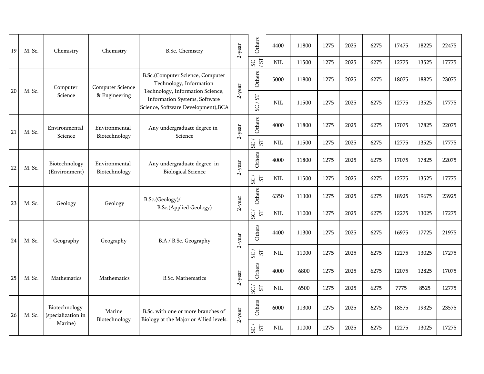| 19 | M. Sc. | Chemistry                           | Chemistry                      | <b>B.Sc. Chemistry</b>                                                                          | $2$ -year | Others                                              | 4400         | 11800 | 1275 | 2025 | 6275 | 17475 | 18225 | 22475 |
|----|--------|-------------------------------------|--------------------------------|-------------------------------------------------------------------------------------------------|-----------|-----------------------------------------------------|--------------|-------|------|------|------|-------|-------|-------|
|    |        |                                     |                                |                                                                                                 |           | ST<br>SC                                            | $\mbox{NIL}$ | 11500 | 1275 | 2025 | 6275 | 12775 | 13525 | 17775 |
| 20 | M. Sc. | Computer                            | <b>Computer Science</b>        | B.Sc.(Computer Science, Computer<br>Technology, Information<br>Technology, Information Science, | $2$ -year | Others                                              | 5000         | 11800 | 1275 | 2025 | 6275 | 18075 | 18825 | 23075 |
|    |        | Science                             | & Engineering                  | Information Systems, Software<br>Science, Software Development), BCA                            |           | $\overline{\rm S}$<br>$\overline{\phantom{0}}$<br>S | <b>NIL</b>   | 11500 | 1275 | 2025 | 6275 | 12775 | 13525 | 17775 |
| 21 | M. Sc. | Environmental<br>Science            | Environmental<br>Biotechnology | Any undergraduate degree in<br>Science                                                          | $2$ -year | Others                                              | 4000         | 11800 | 1275 | 2025 | 6275 | 17075 | 17825 | 22075 |
|    |        |                                     |                                |                                                                                                 |           | ${\rm S}T$<br>$_{\rm{SS}}$                          | NIL          | 11500 | 1275 | 2025 | 6275 | 12775 | 13525 | 17775 |
| 22 | M. Sc. | Biotechnology                       | Environmental                  | Any undergraduate degree in                                                                     | $2$ -year | Others                                              | 4000         | 11800 | 1275 | 2025 | 6275 | 17075 | 17825 | 22075 |
|    |        | (Environment)                       | Biotechnology                  | <b>Biological Science</b>                                                                       |           | S <sub>T</sub><br>/CS                               | NIL          | 11500 | 1275 | 2025 | 6275 | 12775 | 13525 | 17775 |
| 23 | M. Sc. | Geology                             | Geology                        | B.Sc.(Geology)/                                                                                 | $2$ -year | <b>Others</b>                                       | 6350         | 11300 | 1275 | 2025 | 6275 | 18925 | 19675 | 23925 |
|    |        |                                     |                                | B.Sc.(Applied Geology)                                                                          |           | $\sqrt{2S}$<br>${\rm S} {\rm T}$                    | <b>NIL</b>   | 11000 | 1275 | 2025 | 6275 | 12275 | 13025 | 17275 |
| 24 | M. Sc. | Geography                           | Geography                      | B.A / B.Sc. Geography                                                                           | $2$ -year | Others                                              | 4400         | 11300 | 1275 | 2025 | 6275 | 16975 | 17725 | 21975 |
|    |        |                                     |                                |                                                                                                 |           | ${\rm S} {\rm T}$<br>SC.                            | NIL          | 11000 | 1275 | 2025 | 6275 | 12275 | 13025 | 17275 |
| 25 | M. Sc. | Mathematics                         | Mathematics                    | <b>B.Sc. Mathematics</b>                                                                        | $2$ -year | <b>Others</b>                                       | 4000         | 6800  | 1275 | 2025 | 6275 | 12075 | 12825 | 17075 |
|    |        |                                     |                                |                                                                                                 |           | ${\rm S}$<br>SC                                     | NIL          | 6500  | 1275 | 2025 | 6275 | 7775  | 8525  | 12775 |
| 26 | M. Sc. | Biotechnology<br>(specialization in | Marine<br>Biotechnology        | B.Sc. with one or more branches of<br>Biology at the Major or Allied levels.                    | $2$ -year | Others                                              | 6000         | 11300 | 1275 | 2025 | 6275 | 18575 | 19325 | 23575 |
|    |        | Marine)                             |                                |                                                                                                 |           | 5 <sub>l</sub><br>$_{\rm SC}$                       | $\mbox{NIL}$ | 11000 | 1275 | 2025 | 6275 | 12275 | 13025 | 17275 |
|    |        |                                     |                                |                                                                                                 |           |                                                     |              |       |      |      |      |       |       |       |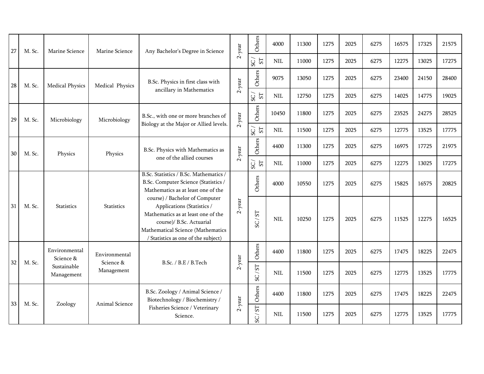| 27 | M. Sc. | Marine Science             | Marine Science          | Any Bachelor's Degree in Science                                                                                                                                                                           | $2$ -year | Others                                | 4000       | 11300 | 1275 | 2025 | 6275 | 16575 | 17325 | 21575 |
|----|--------|----------------------------|-------------------------|------------------------------------------------------------------------------------------------------------------------------------------------------------------------------------------------------------|-----------|---------------------------------------|------------|-------|------|------|------|-------|-------|-------|
|    |        |                            |                         |                                                                                                                                                                                                            |           | S <sub>T</sub><br>SC                  | <b>NIL</b> | 11000 | 1275 | 2025 | 6275 | 12275 | 13025 | 17275 |
| 28 | M. Sc. | <b>Medical Physics</b>     | Medical Physics         | B.Sc. Physics in first class with                                                                                                                                                                          | $2$ -year | Others                                | 9075       | 13050 | 1275 | 2025 | 6275 | 23400 | 24150 | 28400 |
|    |        |                            |                         | ancillary in Mathematics                                                                                                                                                                                   |           | S <sub>T</sub><br>SC                  | <b>NIL</b> | 12750 | 1275 | 2025 | 6275 | 14025 | 14775 | 19025 |
| 29 | M. Sc. | Microbiology               | Microbiology            | B.Sc., with one or more branches of<br>Biology at the Major or Allied levels.                                                                                                                              | $2$ -year | Others                                | 10450      | 11800 | 1275 | 2025 | 6275 | 23525 | 24275 | 28525 |
|    |        |                            |                         |                                                                                                                                                                                                            |           | SC/<br>S <sub>T</sub>                 | $\rm NIL$  | 11500 | 1275 | 2025 | 6275 | 12775 | 13525 | 17775 |
| 30 | M. Sc. | Physics                    | Physics                 | B.Sc. Physics with Mathematics as                                                                                                                                                                          | $2$ -year | Others                                | 4400       | 11300 | 1275 | 2025 | 6275 | 16975 | 17725 | 21975 |
|    |        |                            |                         | one of the allied courses                                                                                                                                                                                  |           | SC/<br>S <sub>T</sub>                 | $\rm NIL$  | 11000 | 1275 | 2025 | 6275 | 12275 | 13025 | 17275 |
|    |        |                            |                         | B.Sc. Statistics / B.Sc. Mathematics /<br>B.Sc. Computer Science (Statistics /<br>Mathematics as at least one of the                                                                                       |           | Others                                | 4000       | 10550 | 1275 | 2025 | 6275 | 15825 | 16575 | 20825 |
| 31 | M. Sc. | <b>Statistics</b>          | <b>Statistics</b>       | course) / Bachelor of Computer<br>Applications (Statistics /<br>Mathematics as at least one of the<br>course)/ B.Sc. Actuarial<br>Mathematical Science (Mathematics<br>/ Statistics as one of the subject) | $2$ -year | SC/ST                                 | <b>NIL</b> | 10250 | 1275 | 2025 | 6275 | 11525 | 12275 | 16525 |
|    |        | Environmental<br>Science & | Environmental           |                                                                                                                                                                                                            |           | Others                                | 4400       | 11800 | 1275 | 2025 | 6275 | 17475 | 18225 | 22475 |
| 32 | M. Sc. | Sustainable<br>Management  | Science &<br>Management | B.Sc. / B.E / B.Tech                                                                                                                                                                                       | $2$ -year | $\overline{\rm s}$<br>$\overline{SC}$ | <b>NIL</b> | 11500 | 1275 | 2025 | 6275 | 12775 | 13525 | 17775 |
| 33 | M. Sc. | Zoology                    | Animal Science          | B.Sc. Zoology / Animal Science /<br>Biotechnology / Biochemistry /                                                                                                                                         | $2$ -year | Others                                | 4400       | 11800 | 1275 | 2025 | 6275 | 17475 | 18225 | 22475 |
|    |        |                            |                         | Fisheries Science / Veterinary<br>Science.                                                                                                                                                                 |           | <b>LS</b><br>$\overline{S}$           | <b>NIL</b> | 11500 | 1275 | 2025 | 6275 | 12775 | 13525 | 17775 |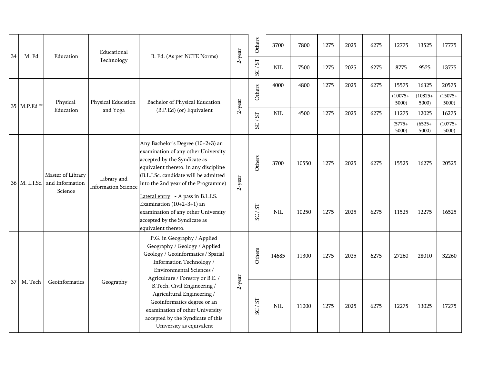| 34 | M. Ed         | Education                                       | Educational                               | B. Ed. (As per NCTE Norms)                                                                                                                                                                                                        | $2$ -year | Others                         | 3700       | 7800  | 1275 | 2025 | 6275 | 12775              | 13525              | 17775              |
|----|---------------|-------------------------------------------------|-------------------------------------------|-----------------------------------------------------------------------------------------------------------------------------------------------------------------------------------------------------------------------------------|-----------|--------------------------------|------------|-------|------|------|------|--------------------|--------------------|--------------------|
|    |               |                                                 | Technology                                |                                                                                                                                                                                                                                   |           | TS/2S                          | <b>NIL</b> | 7500  | 1275 | 2025 | 6275 | 8775               | 9525               | 13775              |
|    |               |                                                 |                                           |                                                                                                                                                                                                                                   |           | Others                         | 4000       | 4800  | 1275 | 2025 | 6275 | 15575              | 16325              | 20575              |
|    | 35 M.P.Ed**   | Physical                                        | Physical Education                        | Bachelor of Physical Education                                                                                                                                                                                                    | $2$ -year |                                |            |       |      |      |      | $(10075 +$<br>5000 | $(10825 +$<br>5000 | $(15075 +$<br>5000 |
|    |               | Education                                       | and Yoga                                  | (B.P.Ed) (or) Equivalent                                                                                                                                                                                                          |           | $\boldsymbol{\Sigma}$          | <b>NIL</b> | 4500  | 1275 | 2025 | 6275 | 11275              | 12025              | 16275              |
|    |               |                                                 |                                           |                                                                                                                                                                                                                                   |           | $\overline{\phantom{0}}$<br>SC |            |       |      |      |      | $(5775 +$<br>5000  | $(6525+$<br>5000   | $(10775 +$<br>5000 |
|    | 36 M. L.I.Sc. | Master of Library<br>and Information<br>Science | Library and<br><b>Information Science</b> | Any Bachelor's Degree (10+2+3) an<br>examination of any other University<br>accepted by the Syndicate as<br>equivalent thereto. in any discipline<br>(B.L.I.Sc. candidate will be admitted<br>into the 2nd year of the Programme) | $2$ -year | Others                         | 3700       | 10550 | 1275 | 2025 | 6275 | 15525              | 16275              | 20525              |
|    |               |                                                 |                                           | Lateral entry - A pass in B.L.I.S.<br>Examination $(10+2+3+1)$ an<br>examination of any other University<br>accepted by the Syndicate as<br>equivalent thereto.                                                                   |           | SC/ST                          | <b>NIL</b> | 10250 | 1275 | 2025 | 6275 | 11525              | 12275              | 16525              |
|    |               |                                                 |                                           | P.G. in Geography / Applied<br>Geography / Geology / Applied<br>Geology / Geoinformatics / Spatial<br>Information Technology /<br>Environmental Sciences /<br>Agriculture / Forestry or B.E. /                                    |           | Others                         | 14685      | 11300 | 1275 | 2025 | 6275 | 27260              | 28010              | 32260              |
|    | 37 M. Tech    | Geoinformatics                                  | Geography                                 | B.Tech. Civil Engineering /<br>Agricultural Engineering /<br>Geoinformatics degree or an<br>examination of other University<br>accepted by the Syndicate of this<br>University as equivalent                                      | $2$ -year | 5<br>$\overline{SC}$           | <b>NIL</b> | 11000 | 1275 | 2025 | 6275 | 12275              | 13025              | 17275              |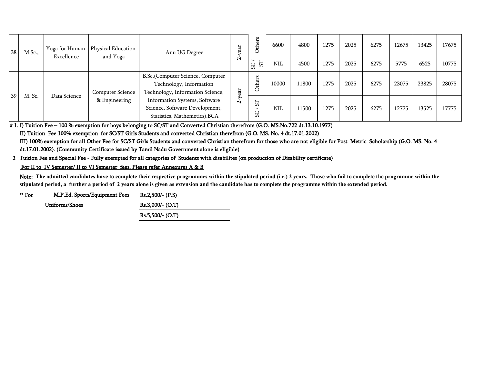| 38 <sup>1</sup> | M.Sc., | Yoga for Human | Physical Education | Anu UG Degree                                                                                    | ear<br>➢ | 뉴<br>€   | 6600       | 4800  | 1275 | 2025 | 6275 | 12675 | 13425 | 17675 |
|-----------------|--------|----------------|--------------------|--------------------------------------------------------------------------------------------------|----------|----------|------------|-------|------|------|------|-------|-------|-------|
|                 |        | Excellence     | and Yoga           |                                                                                                  | $\sim$   | 57<br>SC | <b>NIL</b> | 4500  | 1275 | 2025 | 6275 | 5775  | 6525  | 10775 |
|                 |        |                | Computer Science   | B.Sc.(Computer Science, Computer<br>Technology, Information<br>Technology, Information Science,  | year     | thers    | 10000      | 11800 | 1275 | 2025 | 6275 | 23075 | 23825 | 28075 |
| 39 <sup>1</sup> | M. Sc. | Data Science   | & Engineering      | Information Systems, Software<br>Science, Software Development,<br>Statistics, Mathemetics), BCA | $\sim$   | 55<br>SS | <b>NIL</b> | 11500 | 1275 | 2025 | 6275 | 12775 | 13525 | 17775 |

# 1. I) Tuition Fee – 100 % exemption for boys belonging to SC/ST and Converted Christian therefrom (G.O. MS.No.722 dt.13.10.1977)

II) Tuition Fee 100% exemption for SC/ST Girls Students and converted Christian therefrom (G.O. MS. No. 4 dt.17.01.2002)

III) 100% exemption for all Other Fee for SC/ST Girls Students and converted Christian therefrom for those who are not eligible for Post Metric Scholarship (G.O. MS. No. 4 dt.17.01.2002). (Community Certificate issued by Tamil Nadu Government alone is eligible)

#### 2 Tuition Fee and Special Fee - Fully exempted for all categories of Students with disabilites (on production of Disability certificate)

#### For II to IV Semester/ II to VI Semester fees, Please refer Annexures A & B

Note: The admitted candidates have to complete their respective programmes within the stipulated period (i.e.) 2 years. Those who fail to complete the programme within the **stipulated period, a further a period of 2 years alone is given as extension and the candidate has to complete the programme within the extended period.** 

| "For | M.P.Ed. Sports/Equipment Fees | $Rs.2,500/-(P.S)$ |
|------|-------------------------------|-------------------|
|      | Uniforms/Shoes                | $Rs.3,000/-(O.T)$ |
|      |                               | $Rs.5,500/-(O.T)$ |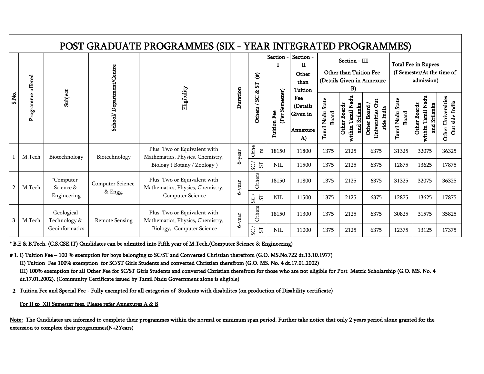|                |                   |                            |                          | POST GRADUATE PROGRAMMES (SIX - YEAR INTEGRATED PROGRAMMES)     |           |                          |                                   |                                               |                                  |                                                          |                                               |                                            |                                                   |                                      |
|----------------|-------------------|----------------------------|--------------------------|-----------------------------------------------------------------|-----------|--------------------------|-----------------------------------|-----------------------------------------------|----------------------------------|----------------------------------------------------------|-----------------------------------------------|--------------------------------------------|---------------------------------------------------|--------------------------------------|
|                |                   |                            |                          |                                                                 |           |                          | Section -                         | Section -<br>Π                                |                                  | Section - III                                            |                                               |                                            | <b>Total Fee in Rupees</b>                        |                                      |
|                |                   |                            |                          |                                                                 |           | $\mathbf{f}$<br>52<br>å, |                                   | Other<br>than<br><b>Tuition</b>               |                                  | Other than Tuition Fee<br>B)                             | (Details Given in Annexure                    |                                            | (I Semester/At the time of<br>admission)          |                                      |
| S.No.          | Programme offered | Subject                    | School/Department/Centre | Eligibility                                                     | Duration  | S<br>Others /            | ester)<br>(Per Sem<br>Tuition Fee | Fee<br>(Details<br>Given in<br>Annexure<br>A) | Tamil Nadu State<br><b>Board</b> | within Tamil Nadu<br><b>Other Boards</b><br>and Srilanka | Universities Out<br>Other Board<br>side India | <b>State</b><br>Tamil Nadu<br><b>Board</b> | within Tamil Nadu<br>and Srilanka<br>Other Boards | Other Universities<br>Out side India |
|                | M.Tech            | Biotechnology              | Biotechnology            | Plus Two or Equivalent with<br>Mathematics, Physics, Chemistry, | 6-year    | Othe<br>SJ               | 18150                             | 11800                                         | 1375                             | 2125                                                     | 6375                                          | 31325                                      | 32075                                             | 36325                                |
|                |                   |                            |                          | Biology (Botany / Zoology)                                      |           | $5\overline{1}$<br>SC    | <b>NIL</b>                        | 11500                                         | 1375                             | 2125                                                     | 6375                                          | 12875                                      | 13625                                             | 17875                                |
| $\overline{2}$ | M.Tech            | *Computer<br>Science &     | Computer Science         | Plus Two or Equivalent with<br>Mathematics, Physics, Chemistry, | $6$ -year | Others                   | 18150                             | 11800                                         | 1375                             | 2125                                                     | 6375                                          | 31325                                      | 32075                                             | 36325                                |
|                |                   | Engineering                | & Engg.                  | Computer Science                                                |           | 5T<br>S                  | <b>NIL</b>                        | 11500                                         | 1375                             | 2125                                                     | 6375                                          | 12875                                      | 13625                                             | 17875                                |
| 3              | M.Tech            | Geological<br>Technology & | <b>Remote Sensing</b>    | Plus Two or Equivalent with<br>Mathematics, Physics, Chemistry, | 6-year    | Others                   | 18150                             | 11300                                         | 1375                             | 2125                                                     | 6375                                          | 30825                                      | 31575                                             | 35825                                |
|                |                   | Geoinformatics             |                          | Biology, Computer Science                                       |           | <b>LS</b><br>SC          | <b>NIL</b>                        | 11000                                         | 1375                             | 2125                                                     | 6375                                          | 12375                                      | 13125                                             | 17375                                |

\* B.E & B.Tech. (C.S,CSE,IT) Candidates can be admitted into Fifth year of M.Tech.(Computer Science & Engineering)

# 1. I) Tuition Fee – 100 % exemption for boys belonging to SC/ST and Converted Christian therefrom (G.O. MS.No.722 dt.13.10.1977)

II) Tuition Fee 100% exemption for SC/ST Girls Students and converted Christian therefrom (G.O. MS. No. 4 dt.17.01.2002)

III) 100% exemption for all Other Fee for SC/ST Girls Students and converted Christian therefrom for those who are not eligible for Post Metric Scholarship (G.O. MS. No. 4 dt.17.01.2002). (Community Certificate issued by Tamil Nadu Government alone is eligible)

2 Tuition Fee and Special Fee - Fully exempted for all categories of Students with disabilites (on production of Disability certificate)

For II to XII Semester fees, Please refer Annexures A & B

Note: The Candidates are informed to complete their programmes within the normal or minimum span period. Further take notice that only 2 years period alone granted for the extension to complete their programmes(N+2Years)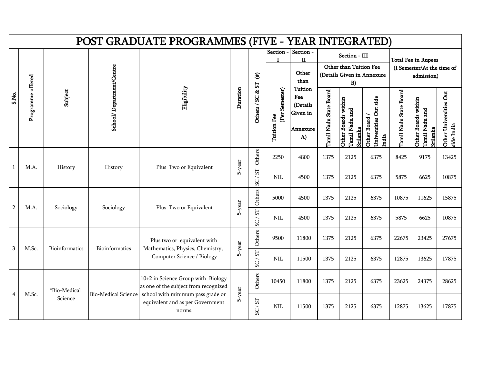|              |                            |                |                          | POST GRADUATE PROGRAMMES (FIVE - YEAR INTEGRATED)                               |          |                                       |                                      |                                                          |                        |                                                   |                                               |                        |                                                                        |                                      |
|--------------|----------------------------|----------------|--------------------------|---------------------------------------------------------------------------------|----------|---------------------------------------|--------------------------------------|----------------------------------------------------------|------------------------|---------------------------------------------------|-----------------------------------------------|------------------------|------------------------------------------------------------------------|--------------------------------------|
|              |                            |                |                          |                                                                                 |          | $\mathbf{f}$<br>57                    |                                      | Section - Section -<br>$\mathbf{I}$<br>Other<br>than     |                        | Section - III<br>Other than Tuition Fee<br>B)     | (Details Given in Annexure                    |                        | <b>Total Fee in Rupees</b><br>(I Semester/At the time of<br>admission) |                                      |
|              | Programme offered<br>S.No. | Subject        | School/Department/Centre | Eligibility                                                                     | Duration | å,<br>Others / SC                     | (Per Semester)<br><b>Tuition Fee</b> | Tuition<br>Fee<br>(Details<br>Given in<br>Annexure<br>A) | Tamil Nadu State Board | Other Boards within<br>Tamil Nadu and<br>Srilanka | Universities Out side<br>Other Board<br>India | Tamil Nadu State Board | Other Boards within<br>Tamil Nadu and<br>Srilanka                      | Other Universities Out<br>side India |
| $\mathbf{1}$ | M.A.                       | History        | History                  | Plus Two or Equivalent                                                          | 5-year   | Others                                | 2250                                 | 4800                                                     | 1375                   | 2125                                              | 6375                                          | 8425                   | 9175                                                                   | 13425                                |
|              |                            |                |                          |                                                                                 |          | $\overline{\rm S}$<br>$\overline{SC}$ | <b>NIL</b>                           | 4500                                                     | 1375                   | 2125                                              | 6375                                          | 5875                   | 6625                                                                   | 10875                                |
|              | $\sqrt{2}$<br>M.A.         | Sociology      | Sociology                | Plus Two or Equivalent                                                          | 5-year   | Others                                | 5000                                 | 4500                                                     | 1375                   | 2125                                              | 6375                                          | 10875                  | 11625                                                                  | 15875                                |
|              |                            |                |                          |                                                                                 |          | $\boldsymbol{\Sigma}$<br>SC/          | <b>NIL</b>                           | 4500                                                     | 1375                   | 2125                                              | 6375                                          | 5875                   | 6625                                                                   | 10875                                |
|              |                            |                |                          | Plus two or equivalent with                                                     |          | Others                                | 9500                                 | 11800                                                    | 1375                   | 2125                                              | 6375                                          | 22675                  | 23425                                                                  | 27675                                |
|              | 3<br>M.Sc.                 | Bioinformatics | Bioinformatics           | Mathematics, Physics, Chemistry,<br>Computer Science / Biology                  | 5-year   | $\overline{\rm S}$<br>$\overline{SC}$ | <b>NIL</b>                           | 11500                                                    | 1375                   | 2125                                              | 6375                                          | 12875                  | 13625                                                                  | 17875                                |
|              |                            | *Bio-Medical   |                          | 10+2 in Science Group with Biology<br>as one of the subject from recognized     |          | Others                                | 10450                                | 11800                                                    | 1375                   | 2125                                              | 6375                                          | 23625                  | 24375                                                                  | 28625                                |
|              | M.Sc.<br>$\overline{4}$    | Science        | Bio-Medical Science      | school with minimum pass grade or<br>equivalent and as per Government<br>norms. | 5-year   | ${\rm S} {\rm T}$<br>SC/              | <b>NIL</b>                           | 11500                                                    | 1375                   | 2125                                              | 6375                                          | 12875                  | 13625                                                                  | 17875                                |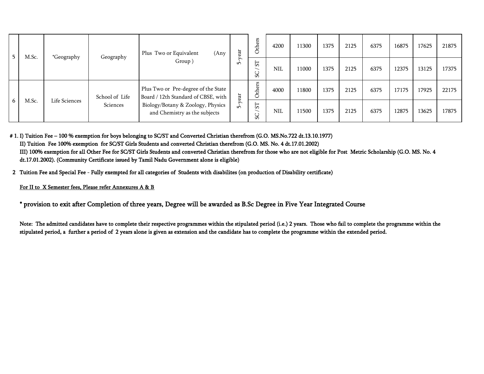|   | M.Sc. |               | Geography      | (Any<br>Plus Two or Equivalent                                             | ear             | Others                   | 4200       | 11300 | 1375 | 2125 | 6375 | 16875 | 17625 | 21875 |
|---|-------|---------------|----------------|----------------------------------------------------------------------------|-----------------|--------------------------|------------|-------|------|------|------|-------|-------|-------|
|   |       | *Geography    |                | Group)                                                                     | ∽<br>۱Ò         | $\overline{\rm S}$<br>SC | <b>NIL</b> | 11000 | 1375 | 2125 | 6375 | 12375 | 13125 | 17375 |
|   |       |               | School of Life | Plus Two or Pre-degree of the State<br>Board / 12th Standard of CBSE, with | ear             | thers<br>Ò               | 4000       | 11800 | 1375 | 2125 | 6375 | 17175 | 17925 | 22175 |
| 6 | M.Sc. | Life Sciences | Sciences       | Biology/Botany & Zoology, Physics<br>and Chemistry as the subjects         | ⋋<br>$\sqrt{ }$ | $\overline{\rm S}$<br>SC | <b>NIL</b> | 11500 | 1375 | 2125 | 6375 | 12875 | 13625 | 17875 |

# 1. I) Tuition Fee – 100 % exemption for boys belonging to SC/ST and Converted Christian therefrom (G.O. MS.No.722 dt.13.10.1977) II) Tuition Fee 100% exemption for SC/ST Girls Students and converted Christian therefrom (G.O. MS. No. 4 dt.17.01.2002) III) 100% exemption for all Other Fee for SC/ST Girls Students and converted Christian therefrom for those who are not eligible for Post Metric Scholarship (G.O. MS. No. 4 dt.17.01.2002). (Community Certificate issued by Tamil Nadu Government alone is eligible)

2 Tuition Fee and Special Fee - Fully exempted for all categories of Students with disabilites (on production of Disability certificate)

#### For II to X Semester fees, Please refer Annexures A & B

\* provision to exit after Completion of three years, Degree will be awarded as B.Sc Degree in Five Year Integrated Course

Note: The admitted candidates have to complete their respective programmes within the stipulated period (i.e.) 2 years. Those who fail to complete the programme within the stipulated period, a further a period of 2 years alone is given as extension and the candidate has to complete the programme within the extended period.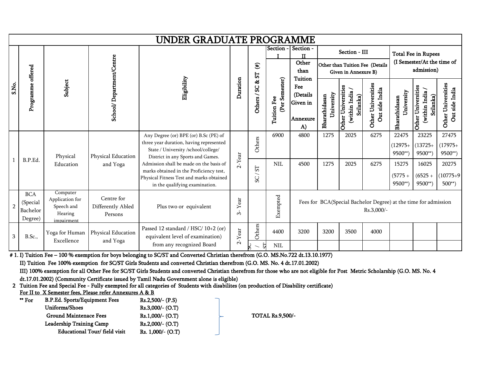|                |                                               |                                                                    |                                            | UNDER GRADUATE PROGRAMME                                                                                                                                                                                |                  |                                |                                   |                                                                 |                             |                                                |                                                                               |                                        |                                                                        |                                        |
|----------------|-----------------------------------------------|--------------------------------------------------------------------|--------------------------------------------|---------------------------------------------------------------------------------------------------------------------------------------------------------------------------------------------------------|------------------|--------------------------------|-----------------------------------|-----------------------------------------------------------------|-----------------------------|------------------------------------------------|-------------------------------------------------------------------------------|----------------------------------------|------------------------------------------------------------------------|----------------------------------------|
|                |                                               |                                                                    |                                            |                                                                                                                                                                                                         |                  | $(\textcolor{blue}{\#})$<br>52 | Section -                         | Section -<br>ш<br>Other<br>than                                 |                             | Section - III<br>Given in Annexure B)          | Other than Tuition Fee (Details                                               |                                        | <b>Total Fee in Rupees</b><br>(I Semester/At the time of<br>admission) |                                        |
| S.No.          | Programme offered                             | Subject                                                            | School/Department/Centre                   | Eligibility                                                                                                                                                                                             | Duration         | න්<br>S<br>Others /            | ester)<br>(Per Sei<br>Tuition Fee | <b>Tuition</b><br>Fee<br>(Details<br>Given in<br>Annexure<br>A) | University<br>Bharathidasan | (within India<br>Other Universiti<br>Srilanka) | Other Universities<br>Out side India                                          | University<br>Bharathidasan            | Other Universities<br>(within India<br>Srilanka)                       | Other Universities<br>Out side India   |
|                | B.P.Ed.                                       | Physical<br>Education                                              | Physical Education<br>and Yoga             | Any Degree (or) BPE (or) B.Sc (PE) of<br>three year duration, having represented<br>State / University /school/college/<br>District in any Sports and Games.<br>Admission shall be made on the basis of | $2$ -Year        | Others<br>$\overline{\rm S}$   | 6900<br><b>NIL</b>                | 4800<br>4500                                                    | 1275<br>1275                | 2025<br>2025                                   | 6275<br>6275                                                                  | 22475<br>$(12975+$<br>9500**)<br>15275 | 23225<br>$(13725+$<br>9500**)<br>16025                                 | 27475<br>$(17975+$<br>9500**)<br>20275 |
|                |                                               |                                                                    |                                            | marks obtained in the Proficiency test,<br>Physical Fitness Test and marks obtained<br>in the qualifying examination.                                                                                   |                  | $\overline{\phantom{0}}$<br>SC |                                   |                                                                 |                             |                                                |                                                                               | $(5775 +$<br>9500**)                   | $(6525 +$<br>$9500**$                                                  | $(10775+9)$<br>$500**$                 |
| $\overline{2}$ | <b>BCA</b><br>(Special<br>Bachelor<br>Degree) | Computer<br>Application for<br>Speech and<br>Hearing<br>impairment | Centre for<br>Differently Abled<br>Persons | Plus two or equivalent                                                                                                                                                                                  | Year<br>$\infty$ |                                | Exempted                          |                                                                 |                             |                                                | Fees for BCA(Special Bachelor Degree) at the time for admission<br>Rs.3,000/- |                                        |                                                                        |                                        |
| 3              | <b>B.Sc.,</b>                                 | Yoga for Human<br>Excellence                                       | Physical Education<br>and Yoga             | Passed 12 standard / HSC/ 10+2 (or)<br>equivalent level of examination)<br>from any recognized Board                                                                                                    | $2$ -Year        | Others<br>£,                   | 4400<br><b>NIL</b>                | 3200                                                            | 3200                        | 3500                                           | 4000                                                                          |                                        |                                                                        |                                        |

# 1. I) Tuition Fee – 100 % exemption for boys belonging to SC/ST and Converted Christian therefrom (G.O. MS.No.722 dt.13.10.1977)

II) Tuition Fee 100% exemption for SC/ST Girls Students and converted Christian therefrom (G.O. MS. No. 4 dt.17.01.2002)

III) 100% exemption for all Other Fee for SC/ST Girls Students and converted Christian therefrom for those who are not eligible for Post Metric Scholarship (G.O. MS. No. 4

dt.17.01.2002) (Community Certificate issued by Tamil Nadu Government alone is eligible)

2 Tuition Fee and Special Fee - Fully exempted for all categories of Students with disabilites (on production of Disability certificate)

For II to X Semester fees, Please refer Annexures A & B

| ** For | B.P.Ed. Sports/Equipment Fees   | $Rs.2,500/-(P.S)$  |  |
|--------|---------------------------------|--------------------|--|
|        | Uniforms/Shoes                  | Rs.3,000/- (O.T)   |  |
|        | <b>Ground Maintenace Fees</b>   | $Rs.1,000/-(O.T)$  |  |
|        | <b>Leadership Training Camp</b> | $Rs.2,000/-(O.T)$  |  |
|        | Educational Tour/field visit    | $Rs. 1,000/-(O.T)$ |  |

TOTAL Rs.9,500/-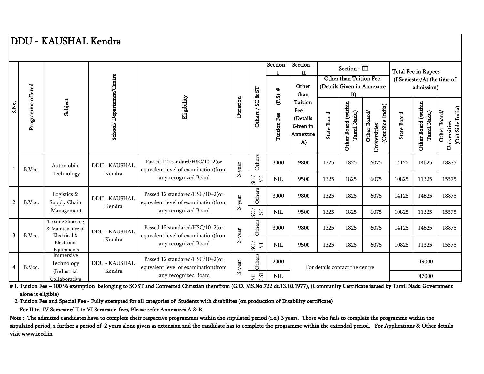# DDU - KAUSHAL Kendra

|                |                   |                                                             |                                |                                                                        |          |                                           | <b>Section</b>       | Section -<br>$\mathbf{I}$                                 |                    | Section - III                      |                                                  |                    | <b>Total Fee in Rupees</b>               |                                                  |
|----------------|-------------------|-------------------------------------------------------------|--------------------------------|------------------------------------------------------------------------|----------|-------------------------------------------|----------------------|-----------------------------------------------------------|--------------------|------------------------------------|--------------------------------------------------|--------------------|------------------------------------------|--------------------------------------------------|
|                |                   |                                                             |                                |                                                                        |          |                                           |                      | Other                                                     |                    | Other than Tuition Fee             | (Details Given in Annexure                       |                    | (I Semester/At the time of<br>admission) |                                                  |
|                |                   |                                                             |                                |                                                                        |          | 55<br>92                                  | $\ddot{}$            | than                                                      |                    | B)                                 |                                                  |                    |                                          |                                                  |
| S.No.          | Programme offered | Subject                                                     | School/Departemnt/Centre       | Eligibility                                                            | Duration | ပ္တ<br>$\overline{\phantom{0}}$<br>Others | (P.S)<br>Tuition Fee | Tuition<br>Fee<br>(Details)<br>Given in<br>Annexure<br>A) | <b>State Board</b> | Other Board (within<br>Tamil Nadu) | (Out Side India)<br>Other Board/<br>Universities | <b>State Board</b> | Other Board (within<br>Tamil Nadu)       | (Out Side India)<br>Other Board/<br>Universities |
|                | B.Voc.            | Automobile<br>Technology                                    | <b>DDU - KAUSHAL</b><br>Kendra | Passed 12 standard/HSC/10+2(or<br>equvalent level of examination)from  | 3-year   | Others                                    | 3000                 | 9800                                                      | 1325               | 1825                               | 6075                                             | 14125              | 14625                                    | 18875                                            |
|                |                   |                                                             |                                | any recognized Board                                                   |          | 57<br>SC                                  | <b>NIL</b>           | 9500                                                      | 1325               | 1825                               | 6075                                             | 10825              | 11325                                    | 15575                                            |
| $\overline{2}$ | B.Voc.            | Logistics &<br>Supply Chain                                 | <b>DDU - KAUSHAL</b>           | Passed 12 standared/HSC/10+2(or<br>equvalent level of examination)from | 3-year   | Others                                    | 3000                 | 9800                                                      | 1325               | 1825                               | 6075                                             | 14125              | 14625                                    | 18875                                            |
|                |                   | Management                                                  | Kendra                         | any recognized Board                                                   |          | ${\rm S} {\rm T}$<br>SC                   | $\rm NIL$            | 9500                                                      | 1325               | 1825                               | 6075                                             | 10825              | 11325                                    | 15575                                            |
|                | B.Voc.            | <b>Trouble Shooting</b><br>& Maintenance of<br>Electrical & | <b>DDU - KAUSHAL</b>           | Passed 12 standared/HSC/10+2(or<br>equvalent level of examination)from | 3-year   | Others                                    | 3000                 | 9800                                                      | 1325               | 1825                               | 6075                                             | 14125              | 14625                                    | 18875                                            |
| 3              |                   | Electronic<br>Equipments                                    | Kendra                         | any recognized Board                                                   |          | 5T<br>SC                                  | <b>NIL</b>           | 9500                                                      | 1325               | 1825                               | 6075                                             | 10825              | 11325                                    | 15575                                            |
| $\overline{4}$ | B.Voc.            | Immersive<br>Technology                                     | <b>DDU - KAUSHAL</b><br>Kendra | Passed 12 standared/HSC/10+2(or<br>equvalent level of examination)from | 3-year   | Others                                    | 2000                 |                                                           |                    | For details contact the centre     |                                                  |                    | 49000                                    |                                                  |
|                |                   | (Industrial)<br>Collaborative                               |                                | any recognized Board                                                   |          | ${\mathbb S}$<br>SC                       | $\rm NIL$            |                                                           |                    |                                    |                                                  |                    | 47000                                    |                                                  |

# 1. Tuition Fee – 100 % exemption belonging to SC/ST and Converted Christian therefrom (G.O. MS.No.722 dt.13.10.1977), (Community Certificate issued by Tamil Nadu Government alone is eligible)

2 Tuition Fee and Special Fee - Fully exempted for all categories of Students with disabilites (on production of Disability certificate)

For II to IV Semester/ II to VI Semester fees, Please refer Annexures A & B

Note: The admitted candidates have to complete their respective programmes within the stipulated period (i.e.) 3 years. Those who fails to complete the programme within the stipulated period, a further a period of 2 years alone given as extension and the candidate has to complete the programme within the extended period. For Applications & Other details visit www.iecd.in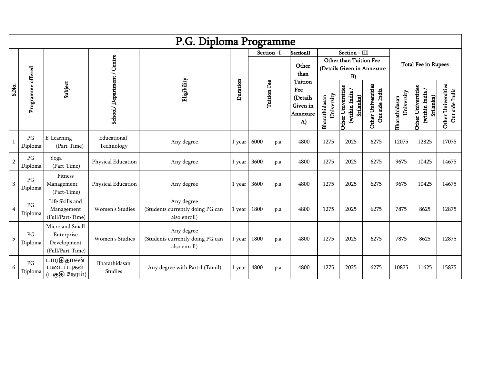|                |                                   |                                                                  |                            | P.G. Diploma Programme                                         |          |      |             |                                                                 |                             |                                                   |                                      |                             |                                                   |                                      |
|----------------|-----------------------------------|------------------------------------------------------------------|----------------------------|----------------------------------------------------------------|----------|------|-------------|-----------------------------------------------------------------|-----------------------------|---------------------------------------------------|--------------------------------------|-----------------------------|---------------------------------------------------|--------------------------------------|
|                |                                   |                                                                  |                            |                                                                |          |      | Section -I  | SectionII<br>Other<br>than                                      |                             | Section - III<br>Other than Tuition Fee<br>B)     | (Details Given in Annexure           |                             | <b>Total Fee in Rupees</b>                        |                                      |
| S.No.          | Programme offered                 | Subject                                                          | School/Department / Centre | Eligibility                                                    | Duration |      | Tuition Fee | <b>Tuition</b><br>Fee<br>(Details<br>Given in<br>Annexure<br>A) | University<br>Bharathidasan | Other Universities<br>(within India/<br>Srilanka) | Other Universities<br>Out side India | University<br>Bharathidasan | Other Universities<br>(within India/<br>Srilanka) | Other Universities<br>Out side India |
| $\mathbf{1}$   | $\mathbf{P}\mathbf{G}$<br>Diploma | E-Learning<br>(Part-Time)                                        | Educational<br>Technology  | Any degree                                                     | 1 year   | 6000 | p.a         | 4800                                                            | 1275                        | 2025                                              | 6275                                 | 12075                       | 12825                                             | 17075                                |
| $\sqrt{2}$     | PG<br>Diploma                     | Yoga<br>(Part-Time)                                              | Physical Education         | Any degree                                                     | 1 year   | 3600 | p.a         | 4800                                                            | 1275                        | 2025                                              | 6275                                 | 9675                        | 10425                                             | 14675                                |
| $\overline{3}$ | PG<br>Diploma                     | Fitness<br>Management<br>(Part-Time)                             | Physical Education         | Any degree                                                     | 1 year   | 3600 | p.a         | 4800                                                            | 1275                        | 2025                                              | 6275                                 | 9675                        | 10425                                             | 14675                                |
| $\overline{4}$ | PG<br>Diploma                     | Life Skills and<br>Management<br>(Full/Part-Time)                | Women's Studies            | Any degree<br>(Students currently doing PG can<br>also enroll) | 1 year   | 1800 | p.a         | 4800                                                            | 1275                        | 2025                                              | 6275                                 | 7875                        | 8625                                              | 12875                                |
| 5              | PG<br>Diploma                     | Micro and Small<br>Enterprise<br>Development<br>(Full/Part-Time) | Women's Studies            | Any degree<br>(Students currently doing PG can<br>also enroll) | 1 year   | 1800 | p.a         | 4800                                                            | 1275                        | 2025                                              | 6275                                 | 7875                        | 8625                                              | 12875                                |
| 6              | PG<br>Diploma                     | பாரதிதாசன்<br>படைப்புகள்<br>(பகுதி நேரம்)                        | Bharathidasan<br>Studies   | Any degree with Part-I (Tamil)                                 | 1 year   | 4800 | p.a         | 4800                                                            | 1275                        | 2025                                              | 6275                                 | 10875                       | 11625                                             | 15875                                |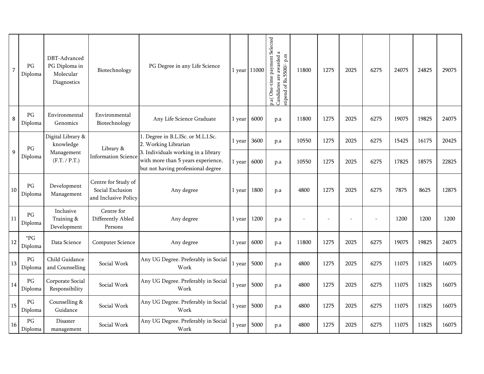| $\overline{7}$ | PG<br>Diploma                     | DBT-Advanced<br>PG Diploma in<br>Molecular<br>Diagnostics | Biotechnology                                                   | PG Degree in any Life Science                                                                                   |        | 1 year 11000 | p.a( One-time payment Selected<br>Candidates are awarded a<br>stipend of Rs.5500/-p.m | 11800 | 1275 | 2025 | 6275 | 24075 | 24825 | 29075 |
|----------------|-----------------------------------|-----------------------------------------------------------|-----------------------------------------------------------------|-----------------------------------------------------------------------------------------------------------------|--------|--------------|---------------------------------------------------------------------------------------|-------|------|------|------|-------|-------|-------|
| $\bf 8$        | $\mathbb{P} G$<br>Diploma         | Environmental<br>Genomics                                 | Environmental<br>Biotechnology                                  | Any Life Science Graduate                                                                                       | 1 year | 6000         | p.a                                                                                   | 11800 | 1275 | 2025 | 6275 | 19075 | 19825 | 24075 |
|                | PG                                | Digital Library &<br>knowledge                            | Library &                                                       | 1. Degree in B.L.ISc. or M.L.I.Sc.<br>2. Working Librarian                                                      | l year | 3600         | p.a                                                                                   | 10550 | 1275 | 2025 | 6275 | 15425 | 16175 | 20425 |
| 9              | Diploma                           | Management<br>(F.T. / P.T.)                               | <b>Information Science</b>                                      | 3. Individuals working in a library<br>with more than 5 years experience,<br>but not having professional degree | 1 year | 6000         | p.a                                                                                   | 10550 | 1275 | 2025 | 6275 | 17825 | 18575 | 22825 |
| 10             | PG<br>Diploma                     | Development<br>Management                                 | Centre for Study of<br>Social Exclusion<br>and Inclusive Policy | Any degree                                                                                                      | 1 year | 1800         | p.a                                                                                   | 4800  | 1275 | 2025 | 6275 | 7875  | 8625  | 12875 |
| 11             | $\mathbb{P} G$<br>Diploma         | Inclusive<br>Training &<br>Development                    | Centre for<br>Differently Abled<br>Persons                      | Any degree                                                                                                      | 1 year | 1200         | p.a                                                                                   |       |      |      |      | 1200  | 1200  | 1200  |
| 12             | $^\ast\mathrm{PG}$<br>Diploma     | Data Science                                              | <b>Computer Science</b>                                         | Any degree                                                                                                      | 1 year | 6000         | p.a                                                                                   | 11800 | 1275 | 2025 | 6275 | 19075 | 19825 | 24075 |
| 13             | $\mathbb{P} G$<br>Diploma         | Child Guidance<br>and Counselling                         | Social Work                                                     | Any UG Degree. Preferably in Social<br>Work                                                                     | 1 year | 5000         | p.a                                                                                   | 4800  | 1275 | 2025 | 6275 | 11075 | 11825 | 16075 |
| 14             | $\mathbf{P}\mathbf{G}$<br>Diploma | Corporate Social<br>Responsibility                        | Social Work                                                     | Any UG Degree. Preferably in Social<br>Work                                                                     | 1 year | 5000         | p.a                                                                                   | 4800  | 1275 | 2025 | 6275 | 11075 | 11825 | 16075 |
| 15             | $\mathbf{P}\mathbf{G}$<br>Diploma | Counselling &<br>Guidance                                 | Social Work                                                     | Any UG Degree. Preferably in Social<br>Work                                                                     | 1 year | 5000         | p.a                                                                                   | 4800  | 1275 | 2025 | 6275 | 11075 | 11825 | 16075 |
| 16             | PG<br>Diploma                     | <b>Disaster</b><br>management                             | Social Work                                                     | Any UG Degree. Preferably in Social<br>Work                                                                     | 1 year | 5000         | p.a                                                                                   | 4800  | 1275 | 2025 | 6275 | 11075 | 11825 | 16075 |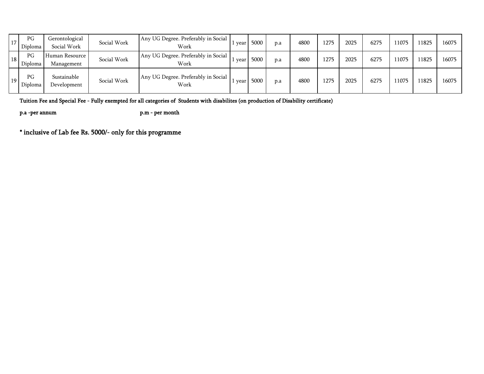| 17 <sup>1</sup> | PG<br>Diploma | Gerontological<br>Social Work | Social Work | Any UG Degree. Preferably in Social<br>Work | year | 5000 | p.a | 4800 | 1275 | 2025 | 6275 | 11075 | 11825 | 16075 |
|-----------------|---------------|-------------------------------|-------------|---------------------------------------------|------|------|-----|------|------|------|------|-------|-------|-------|
| 18 <sup>1</sup> | PG<br>Diploma | Human Resource<br>Management  | Social Work | Any UG Degree. Preferably in Social<br>Work | year | 5000 | p.a | 4800 | 1275 | 2025 | 6275 | 11075 | 11825 | 16075 |
| 19 <sup>1</sup> | PG<br>Diploma | Sustainable<br>Development    | Social Work | Any UG Degree. Preferably in Social<br>Work | year | 5000 | p.a | 4800 | 1275 | 2025 | 6275 | 11075 | 11825 | 16075 |

Tuition Fee and Special Fee - Fully exempted for all categories of Students with disabilites (on production of Disability certificate)

p.a -per annum p.m - per month

\* inclusive of Lab fee Rs. 5000/- only for this programme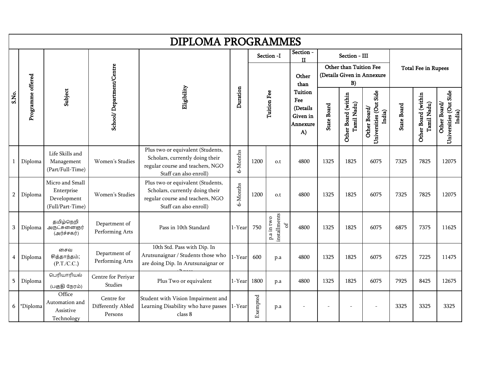|                |                   |                                                                  |                                            | <b>DIPLOMA PROGRAMMES</b>                                                                                                          |          |          |                                  |                                                                 |                    |                                               |                                                  |                    |                                    |                                                  |
|----------------|-------------------|------------------------------------------------------------------|--------------------------------------------|------------------------------------------------------------------------------------------------------------------------------------|----------|----------|----------------------------------|-----------------------------------------------------------------|--------------------|-----------------------------------------------|--------------------------------------------------|--------------------|------------------------------------|--------------------------------------------------|
|                |                   |                                                                  |                                            |                                                                                                                                    |          |          | Section -I                       | Section -<br>$\mathbf{I}$<br>Other<br>than                      |                    | Section - III<br>Other than Tuition Fee<br>B) | (Details Given in Annexure                       |                    | <b>Total Fee in Rupees</b>         |                                                  |
| S.No.          | Programme offered | Subject                                                          | School/Department/Centre                   | Eligibility                                                                                                                        | Duration |          | <b>Tuition Fee</b>               | <b>Tuition</b><br>Fee<br>(Details<br>Given in<br>Annexure<br>A) | <b>State Board</b> | Other Board (within<br>Tamil Nadu)            | Universities (Out Side<br>Other Board/<br>India) | <b>State Board</b> | Other Board (within<br>Tamil Nadu) | Universities (Out Side<br>Other Board/<br>India) |
|                | Diploma           | Life Skills and<br>Management<br>(Part/Full-Time)                | Women's Studies                            | Plus two or equivalent (Students,<br>Scholars, currently doing their<br>regular course and teachers, NGO<br>Staff can also enroll) | 6-Months | 1200     | o.t                              | 4800                                                            | 1325               | 1825                                          | 6075                                             | 7325               | 7825                               | 12075                                            |
| 2 <sup>1</sup> | Diploma           | Micro and Small<br>Enterprise<br>Development<br>(Full/Part-Time) | Women's Studies                            | Plus two or equivalent (Students,<br>Scholars, currently doing their<br>regular course and teachers, NGO<br>Staff can also enroll) | 6-Months | 1200     | o.t                              | 4800                                                            | 1325               | 1825                                          | 6075                                             | 7325               | 7825                               | 12075                                            |
| 3              | Diploma           | தமிழ்நெறி<br>அருட்சுனைஞர்<br>(அர்ச்சகர்)                         | Department of<br>Performing Arts           | Pass in 10th Standard                                                                                                              | 1-Year   | 750      | installments<br>p.a in two<br>ЪÇ | 4800                                                            | 1325               | 1825                                          | 6075                                             | 6875               | 7375                               | 11625                                            |
| 4              | Diploma           | சைவ<br>சித்தாந்தம்;<br>(P.T./C.C.)                               | Department of<br>Performing Arts           | 10th Std. Pass with Dip. In<br>Arutsunaignar / Students those who<br>are doing Dip. In Arutsunaignar or                            | 1-Year   | 600      | p.a                              | 4800                                                            | 1325               | 1825                                          | 6075                                             | 6725               | 7225                               | 11475                                            |
| 5              | Diploma           | பெரியாரியல்<br>(பகுதி நேரம்)                                     | Centre for Periyar<br>Studies              | Plus Two or equivalent                                                                                                             | 1-Year   | 1800     | p.a                              | 4800                                                            | 1325               | 1825                                          | 6075                                             | 7925               | 8425                               | 12675                                            |
| 6              | *Diploma          | Office<br>Automation and<br>Assistive<br>Technology              | Centre for<br>Differently Abled<br>Persons | Student with Vision Impairment and<br>Learning Disability who have passes<br>class 8                                               | 1-Year   | Exempted | p.a                              |                                                                 |                    |                                               |                                                  | 3325               | 3325                               | 3325                                             |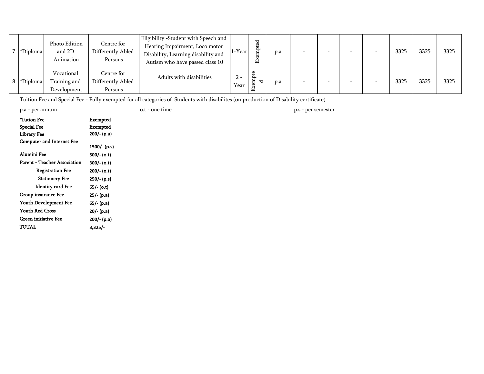| *Diploma   | Photo Edition<br>and 2D<br>Animation      | Centre for<br>Differently Abled<br>Persons | Eligibility -Student with Speech and<br>Hearing Impairment, Loco motor<br>Disability, Learning disability and<br>Autism who have passed class 10 | 1-Yearl       | ರ<br>ë<br>岳 | p.a |  |  | 3325 | 3325 | 3325 |
|------------|-------------------------------------------|--------------------------------------------|--------------------------------------------------------------------------------------------------------------------------------------------------|---------------|-------------|-----|--|--|------|------|------|
| 8 *Diploma | Vocational<br>Training and<br>Development | Centre for<br>Differently Abled<br>Persons | Adults with disabilities                                                                                                                         | $2 -$<br>Year | ᄃ           | p.a |  |  | 3325 | 3325 | 3325 |

Tuition Fee and Special Fee - Fully exempted for all categories of Students with disabilites (on production of Disability certificate)

|  |  | p.a - per annum |
|--|--|-----------------|
|--|--|-----------------|

o.t - one time

p.s - per semester p.s - per semester

| *Tution Fee                         | Exempted       |
|-------------------------------------|----------------|
| Special Fee                         | Exempted       |
| <b>Library Fee</b>                  | 200/- (p.a)    |
| <b>Computer and Internet Fee</b>    |                |
|                                     | $1500/- (p.s)$ |
| Alumini Fee                         | 500/- (o.t)    |
| <b>Parent - Teacher Association</b> | 300/- (o.t)    |
| <b>Registration Fee</b>             | 200/- (o.t)    |
| <b>Stationery Fee</b>               | 250/- (p.s)    |
| <b>Identity card Fee</b>            | 65/- (o.t)     |
| Group insurance Fee                 | 25/- (p.a)     |
| Youth Development Fee               | 65/- (p.a)     |
| <b>Youth Red Cross</b>              | 20/- (p.a)     |
| Green initiative Fee                | 200/- (p.a)    |
| TOTAL                               | $3,325/-$      |
|                                     |                |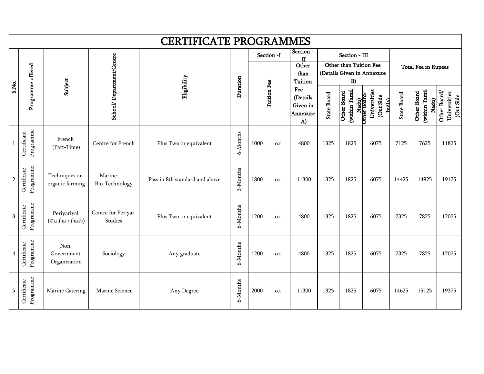|                |                          |                                    |                               | <b>CERTIFICATE PROGRAMMES</b>  |          |      |             |                                                              |                    |                                               |                                                                   |                    |                                              |                                           |
|----------------|--------------------------|------------------------------------|-------------------------------|--------------------------------|----------|------|-------------|--------------------------------------------------------------|--------------------|-----------------------------------------------|-------------------------------------------------------------------|--------------------|----------------------------------------------|-------------------------------------------|
|                |                          |                                    |                               |                                |          |      | Section -I  | Section -<br>$\mathbf{I}$<br>Other<br>than<br><b>Tuition</b> |                    | Section - III<br>Other than Tuition Fee<br>B) | (Details Given in Annexure                                        |                    | <b>Total Fee in Rupees</b>                   |                                           |
| S.No.          | Programme offered        | Subject                            | School/Department/Centre      | Eligibility                    | Duration |      | Tuition Fee | Fee<br>(Details<br>Given in<br>Annexure<br>A)                | <b>State Board</b> | (within Tamil<br>Other Board                  | Universities<br>Nadu)<br>Other Board<br>(Out Side<br><b>India</b> | <b>State Board</b> | (within Tamil<br><b>Other Board</b><br>Nadu) | Other Board/<br>Universities<br>(Out Side |
|                | Programme<br>Certificate | French<br>(Part-Time)              | Centre for French             | Plus Two or equivalent         | 6-Months | 1000 | o.t         | 4800                                                         | 1325               | 1825                                          | 6075                                                              | 7125               | 7625                                         | 11875                                     |
| $\overline{2}$ | Programme<br>Certificate | Techniques on<br>organic farming   | Marine<br>Bio-Technology      | Pass in 8th standard and above | 3-Months | 1800 | o.t         | 11300                                                        | 1325               | 1825                                          | 6075                                                              | 14425              | 14925                                        | 19175                                     |
| $\sqrt{3}$     | Programme<br>Certificate | Periyariyal<br>(பெரியாரியல்)       | Centre for Periyar<br>Studies | Plus Two or equivalent         | 6-Months | 1200 | o.t         | 4800                                                         | 1325               | 1825                                          | 6075                                                              | 7325               | 7825                                         | 12075                                     |
| 4              | Programme<br>Certificate | Non-<br>Government<br>Organization | Sociology                     | Any graduate                   | 6-Months | 1200 | o.t         | 4800                                                         | 1325               | 1825                                          | 6075                                                              | 7325               | 7825                                         | 12075                                     |
| 5              | Programme<br>Certificate | Marine Catering                    | Marine Science                | Any Degree                     | 6-Months | 2000 | o.t         | 11300                                                        | 1325               | 1825                                          | 6075                                                              | 14625              | 15125                                        | 19375                                     |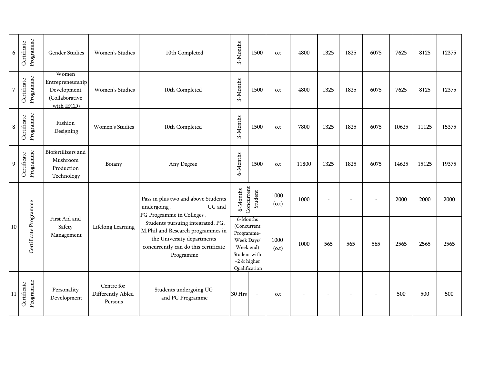| 6              | Programme<br>Certificate | Gender Studies                                                           | Women's Studies                            | 10th Completed                                                                                                                                            | 3-Months                                               | 1500                                                     | o.t                     | 4800  | 1325                     | 1825 | 6075 | 7625  | 8125  | 12375 |
|----------------|--------------------------|--------------------------------------------------------------------------|--------------------------------------------|-----------------------------------------------------------------------------------------------------------------------------------------------------------|--------------------------------------------------------|----------------------------------------------------------|-------------------------|-------|--------------------------|------|------|-------|-------|-------|
| $\overline{7}$ | Programme<br>Certificate | Women<br>Entrepreneurship<br>Development<br>(Collaborative<br>with IECD) | Women's Studies                            | 10th Completed                                                                                                                                            | 3-Months                                               | 1500                                                     | o.t                     | 4800  | 1325                     | 1825 | 6075 | 7625  | 8125  | 12375 |
| $\bf 8$        | Programme<br>Certificate | Fashion<br>Designing                                                     | Women's Studies                            | 10th Completed                                                                                                                                            | 3-Months                                               | 1500                                                     | $\mathsf{o}.\mathsf{t}$ | 7800  | 1325                     | 1825 | 6075 | 10625 | 11125 | 15375 |
| 9              | Programme<br>Certificate | Biofertilizers and<br>Mushroom<br>Production<br>Technology               | Botany                                     | Any Degree                                                                                                                                                | 6-Months                                               | 1500                                                     | o.t                     | 11800 | 1325                     | 1825 | 6075 | 14625 | 15125 | 19375 |
|                |                          |                                                                          |                                            | Pass in plus two and above Students<br>undergoing,<br>UG and<br>PG Programme in Colleges,                                                                 | 6-Months                                               | Concurrent<br>Student                                    | 1000<br>(0.t)           | 1000  |                          |      |      | 2000  | 2000  | 2000  |
| 10             | Certificate Programme    | First Aid and<br>Safety<br>Management                                    | Lifelong Learning                          | Students pursuing integrated, PG.<br>M.Phil and Research programmes in<br>the University departments<br>concurrently can do this certificate<br>Programme | Programme-<br>Week Days/<br>Week end)<br>$+2$ & higher | 6-Months<br>(Concurrent<br>Student with<br>Qualification | 1000<br>(0.t)           | 1000  | 565                      | 565  | 565  | 2565  | 2565  | 2565  |
| <sup>11</sup>  | Programme<br>Certificate | Personality<br>Development                                               | Centre for<br>Differently Abled<br>Persons | Students undergoing UG<br>and PG Programme                                                                                                                | 30 Hrs                                                 | $\sim$                                                   | o.t                     |       | $\overline{\phantom{a}}$ |      |      | 500   | 500   | 500   |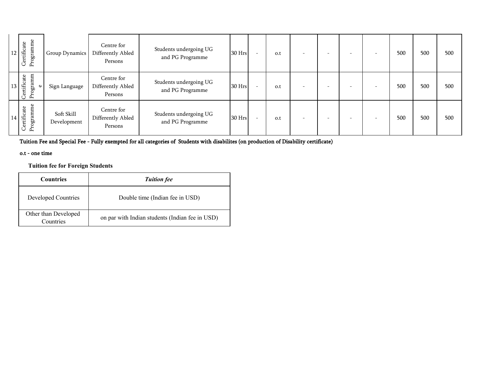| 1 <sub>0</sub><br>12 | Programme<br>Certificate         | Group Dynamics            | Centre for<br>Differently Abled<br>Persons | Students undergoing UG<br>and PG Programme | 30 Hrs |                          | o.t | $\overline{\phantom{0}}$ | -                        | $\overline{\phantom{0}}$ | $\overline{\phantom{0}}$ | 500 | 500 | 500 |
|----------------------|----------------------------------|---------------------------|--------------------------------------------|--------------------------------------------|--------|--------------------------|-----|--------------------------|--------------------------|--------------------------|--------------------------|-----|-----|-----|
| 13                   | Programm<br>Certificate          | Sign Language             | Centre for<br>Differently Abled<br>Persons | Students undergoing UG<br>and PG Programme | 30 Hrs | $\overline{\phantom{0}}$ | o.t | $\overline{\phantom{0}}$ | -                        | $\overline{\phantom{0}}$ | $\overline{\phantom{0}}$ | 500 | 500 | 500 |
| 14                   | amme<br>Certificate<br>Programme | Soft Skill<br>Development | Centre for<br>Differently Abled<br>Persons | Students undergoing UG<br>and PG Programme | 30 Hrs |                          | o.t | $\overline{\phantom{0}}$ | $\overline{\phantom{0}}$ | $\overline{\phantom{0}}$ | $\overline{\phantom{0}}$ | 500 | 500 | 500 |

Tuition Fee and Special Fee - Fully exempted for all categories of Students with disabilites (on production of Disability certificate)

#### o.t - one time

**Tuition fee for Foreign Students**

| <b>Countries</b>                  | <b>Tuition fee</b>                              |  |  |  |  |
|-----------------------------------|-------------------------------------------------|--|--|--|--|
| Developed Countries               | Double time (Indian fee in USD)                 |  |  |  |  |
| Other than Developed<br>Countries | on par with Indian students (Indian fee in USD) |  |  |  |  |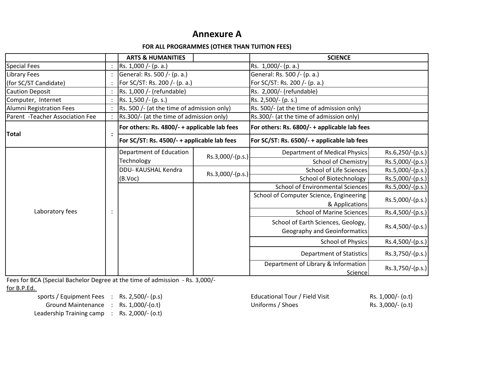# **Annexure A**

#### **FOR ALL PROGRAMMES (OTHER THAN TUITION FEES)**

|                                  |  | <b>ARTS &amp; HUMANITIES</b>                 |                  | <b>SCIENCE</b>                                 |                  |  |  |
|----------------------------------|--|----------------------------------------------|------------------|------------------------------------------------|------------------|--|--|
| <b>Special Fees</b>              |  | Rs. 1,000 /- (p. a.)                         |                  | Rs. 1,000/- (p. a.)                            |                  |  |  |
| Library Fees                     |  | General: Rs. 500 /- (p. a.)                  |                  | General: Rs. 500 /- (p. a.)                    |                  |  |  |
| (for SC/ST Candidate)            |  | For SC/ST: Rs. 200 /- (p. a.)                |                  | For SC/ST: Rs. 200 /- (p. a.)                  |                  |  |  |
| <b>Caution Deposit</b>           |  | Rs. 1,000 /- (refundable)                    |                  | Rs. 2,000/- (refundable)                       |                  |  |  |
| Computer, Internet               |  | Rs. 1,500 /- (p. s.)                         |                  | Rs. 2,500/- (p. s.)                            |                  |  |  |
| <b>Alumni Registration Fees</b>  |  | Rs. 500 /- (at the time of admission only)   |                  | Rs. 500/- (at the time of admission only)      |                  |  |  |
| Parent - Teacher Association Fee |  | Rs.300/- (at the time of admission only)     |                  | Rs.300/- (at the time of admission only)       |                  |  |  |
| <b>Total</b>                     |  | For others: Rs. 4800/- + applicable lab fees |                  | For others: Rs. 6800/- + applicable lab fees   |                  |  |  |
|                                  |  | For SC/ST: Rs. 4500/- + applicable lab fees  |                  | For SC/ST: Rs. 6500/- + applicable lab fees    |                  |  |  |
|                                  |  | Department of Education                      | Rs.3,000/-(p.s.) | <b>Department of Medical Physics</b>           | Rs.6,250/-(p.s.) |  |  |
|                                  |  | Technology                                   |                  | School of Chemistry                            | Rs.5,000/-(p.s.) |  |  |
|                                  |  | DDU-KAUSHAL Kendra                           | Rs.3,000/-(p.s.) | School of Life Sciences                        | Rs.5,000/-(p.s.) |  |  |
|                                  |  | (B.Voc)                                      |                  | <b>School of Biotechnology</b>                 | Rs.5,000/-(p.s.) |  |  |
|                                  |  |                                              |                  | <b>School of Environmental Sciences</b>        | Rs.5,000/-(p.s.) |  |  |
|                                  |  |                                              |                  | School of Computer Science, Engineering        | Rs.5,000/-(p.s.) |  |  |
| Laboratory fees                  |  |                                              |                  | & Applications                                 |                  |  |  |
|                                  |  |                                              |                  | <b>School of Marine Sciences</b>               | Rs.4,500/-(p.s.) |  |  |
|                                  |  |                                              |                  | School of Earth Sciences, Geology,             | Rs.4,500/-(p.s.) |  |  |
|                                  |  |                                              |                  | <b>Geography and Geoinformatics</b>            |                  |  |  |
|                                  |  |                                              |                  | <b>School of Physics</b>                       | Rs.4,500/-(p.s.) |  |  |
|                                  |  |                                              |                  | Department of Statistics                       | Rs.3,750/-(p.s.) |  |  |
|                                  |  |                                              |                  | Department of Library & Information<br>Science | Rs.3,750/-(p.s.) |  |  |

Fees for BCA (Special Bachelor Degree at the time of admission - Rs. 3,000/-

for B.P.Ed.

Leadership Training camp : Rs. 2,000/- (o.t)

sports / Equipment Fees : Rs. 2,500/- (p.s) <br>Ground Maintenance : Rs. 1,000/-(o.t) <br>Ground Maintenance : Rs. 1,000/-(o.t) <br>Communisty Choes (Shoes Rs. 3,000/- (o.t) Ground Maintenance : Rs. 1,000/-(o.t) Uniforms / Shoes Rs. 3,000/- (o.t)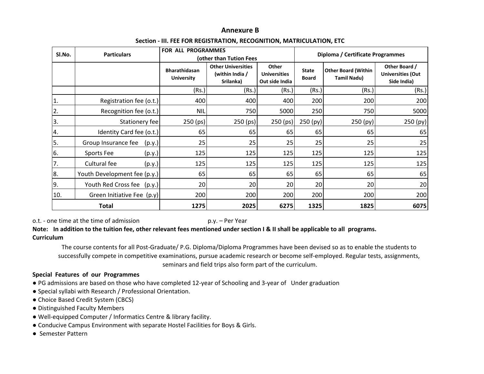#### **Annexure B**

#### **Section - III. FEE FOR REGISTRATION, RECOGNITION, MATRICULATION, ETC**

| SI.No.           | <b>Particulars</b>            | <b>FOR ALL PROGRAMMES</b>                 | (other than Tution Fees                                   |                                                | Diploma / Certificate Programmes |                                                  |                                                          |  |
|------------------|-------------------------------|-------------------------------------------|-----------------------------------------------------------|------------------------------------------------|----------------------------------|--------------------------------------------------|----------------------------------------------------------|--|
|                  |                               | <b>Bharathidasan</b><br><b>University</b> | <b>Other Universities</b><br>(within India /<br>Srilanka) | Other<br><b>Universities</b><br>Out side India | <b>State</b><br><b>Board</b>     | <b>Other Board (Within</b><br><b>Tamil Nadu)</b> | Other Board /<br><b>Universities (Out</b><br>Side India) |  |
|                  |                               | (Rs.)                                     | (Rs.)                                                     | (Rs.)                                          | (Rs.)                            | (Rs.)                                            | (Rs.)                                                    |  |
| 1.               | Registration fee (o.t.)       | 400                                       | 400                                                       | 400                                            | 200                              | 200                                              | 200                                                      |  |
| $\overline{2}$ . | Recognition fee (o.t.)        | <b>NIL</b>                                | 750                                                       | 5000                                           | 250                              | 750                                              | 5000                                                     |  |
| 3.               | Stationery fee                | 250 (ps)                                  | 250 (ps)                                                  | 250 (ps)                                       | 250 (py)                         | 250 (py)                                         | 250 (py)                                                 |  |
| 4.               | Identity Card fee (o.t.)      | 65                                        | 65                                                        | 65                                             | 65                               | 65                                               | 65                                                       |  |
| ١5.              | Group Insurance fee<br>(p.y.) | 25                                        | 25                                                        | 25                                             | 25                               | 25                                               | 25                                                       |  |
| 6.               | Sports Fee<br>(p.y.)          | 125                                       | 125                                                       | 125                                            | 125                              | 125                                              | 125                                                      |  |
| 7.               | Cultural fee<br>(p.y.)        | 125                                       | 125                                                       | 125                                            | 125                              | 125                                              | 125                                                      |  |
| 8.               | Youth Development fee (p.y.)  | 65                                        | 65                                                        | 65                                             | 65                               | 65                                               | 65                                                       |  |
| ١9.              | Youth Red Cross fee (p.y.)    | 20                                        | 20                                                        | 20                                             | 20                               | 20                                               | 20                                                       |  |
| 10.              | Green Initiative Fee (p.y)    | 200                                       | 200                                                       | 200                                            | 200                              | 200                                              | 200                                                      |  |
|                  | Total                         | 1275                                      | 2025                                                      | 6275                                           | 1325                             | 1825                                             | 6075                                                     |  |

o.t. - one time at the time of admission p.y. – Per Year

**Note: In addition to the tuition fee, other relevant fees mentioned under section I & II shall be applicable to all programs.Curriculum**

The course contents for all Post-Graduate/ P.G. Diploma/Diploma Programmes have been devised so as to enable the students to successfully compete in competitive examinations, pursue academic research or become self-employed. Regular tests, assignments, seminars and field trips also form part of the curriculum.

#### **Special Features of our Programmes**

- PG admissions are based on those who have completed 12-year of Schooling and 3-year of Under graduation
- Special syllabi with Research / Professional Orientation.
- Choice Based Credit System (CBCS)
- Distinguished Faculty Members
- Well-equipped Computer / Informatics Centre & library facility.
- Conducive Campus Environment with separate Hostel Facilities for Boys & Girls.
- Semester Pattern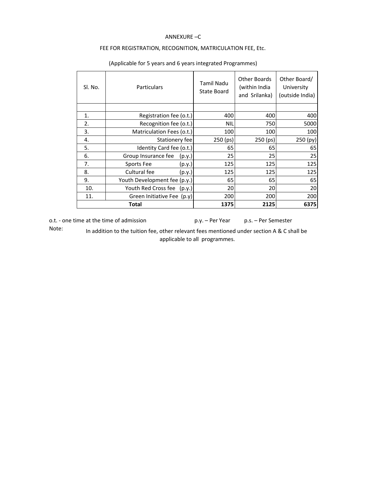#### ANNEXURE –C

#### FEE FOR REGISTRATION, RECOGNITION, MATRICULATION FEE, Etc.

| Sl. No. | <b>Particulars</b>            | Tamil Nadu<br>State Board | Other Boards<br>(within India<br>and Srilanka) | Other Board/<br>University<br>(outside India) |
|---------|-------------------------------|---------------------------|------------------------------------------------|-----------------------------------------------|
|         |                               |                           |                                                |                                               |
| 1.      | Registration fee (o.t.)       | 400                       | 400                                            | 400                                           |
| 2.      | Recognition fee (o.t.)        | <b>NIL</b>                | 750                                            | 5000                                          |
| 3.      | Matriculation Fees (o.t.)     | 100                       | 100                                            | 100                                           |
| 4.      | Stationery fee                | 250 (ps)                  | 250 (ps)                                       | 250 (py)                                      |
| 5.      | Identity Card fee (o.t.)      | 65                        | 65                                             | 65                                            |
| 6.      | Group Insurance fee<br>(p.y.) | <b>25</b>                 | 25                                             | 25                                            |
| 7.      | Sports Fee<br>(p.y.)          | <b>125</b>                | 125                                            | 125                                           |
| 8.      | Cultural fee<br>(p.y.)        | 125                       | 125                                            | 125                                           |
| 9.      | Youth Development fee (p.y.)  | 65                        | 65                                             | 65                                            |
| 10.     | Youth Red Cross fee<br>(p.y.) | <b>20</b>                 | 20                                             | 20                                            |
| 11.     | Green Initiative Fee (p.y)    | 200                       | 200                                            | 200                                           |
|         | Total                         | 1375                      | 2125                                           | 6375                                          |

#### (Applicable for 5 years and 6 years integrated Programmes)

o.t. - one time at the time of admission p.y. – Per Year p.s. – Per Semester

Note:

In addition to the tuition fee, other relevant fees mentioned under section A & C shall be applicable to all programmes.